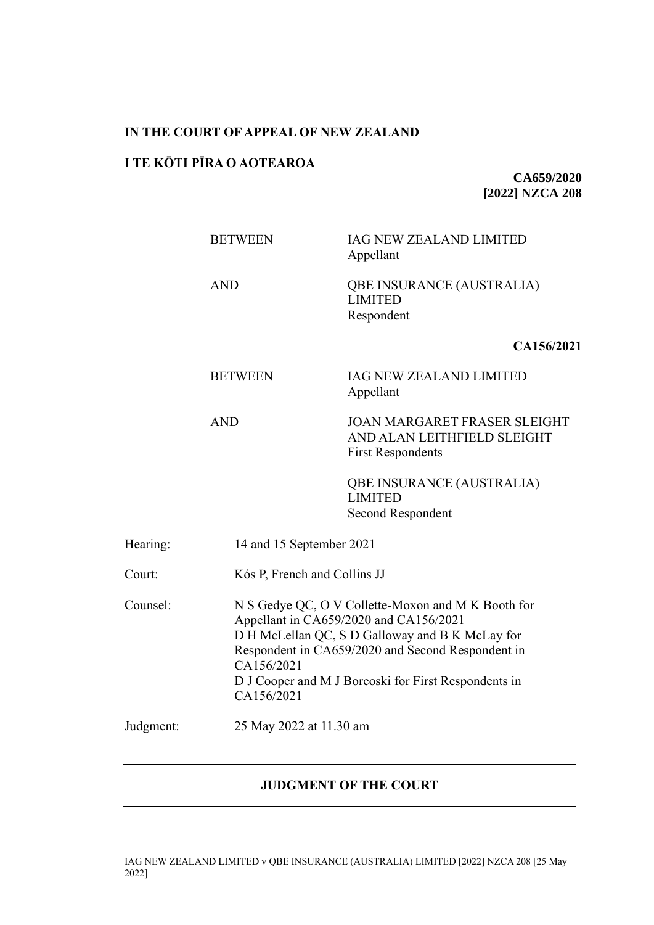### **IN THE COURT OF APPEAL OF NEW ZEALAND**

### **I TE KŌTI PĪRA O AOTEAROA**

**CA659/2020 [2022] NZCA 208**

|           | <b>BETWEEN</b>           | IAG NEW ZEALAND LIMITED<br>Appellant                                                                                                                                                                                                                         |  |  |
|-----------|--------------------------|--------------------------------------------------------------------------------------------------------------------------------------------------------------------------------------------------------------------------------------------------------------|--|--|
|           | <b>AND</b>               | QBE INSURANCE (AUSTRALIA)<br><b>LIMITED</b><br>Respondent                                                                                                                                                                                                    |  |  |
|           |                          | CA156/2021                                                                                                                                                                                                                                                   |  |  |
|           | <b>BETWEEN</b>           | <b>IAG NEW ZEALAND LIMITED</b><br>Appellant                                                                                                                                                                                                                  |  |  |
|           | <b>AND</b>               | <b>JOAN MARGARET FRASER SLEIGHT</b><br>AND ALAN LEITHFIELD SLEIGHT<br><b>First Respondents</b>                                                                                                                                                               |  |  |
|           |                          | QBE INSURANCE (AUSTRALIA)<br><b>LIMITED</b><br>Second Respondent                                                                                                                                                                                             |  |  |
| Hearing:  | 14 and 15 September 2021 |                                                                                                                                                                                                                                                              |  |  |
| Court:    |                          | Kós P, French and Collins JJ                                                                                                                                                                                                                                 |  |  |
| Counsel:  | CA156/2021<br>CA156/2021 | N S Gedye QC, O V Collette-Moxon and M K Booth for<br>Appellant in CA659/2020 and CA156/2021<br>D H McLellan QC, S D Galloway and B K McLay for<br>Respondent in CA659/2020 and Second Respondent in<br>D J Cooper and M J Borcoski for First Respondents in |  |  |
| Judgment: | 25 May 2022 at 11.30 am  |                                                                                                                                                                                                                                                              |  |  |
|           |                          |                                                                                                                                                                                                                                                              |  |  |

# **JUDGMENT OF THE COURT**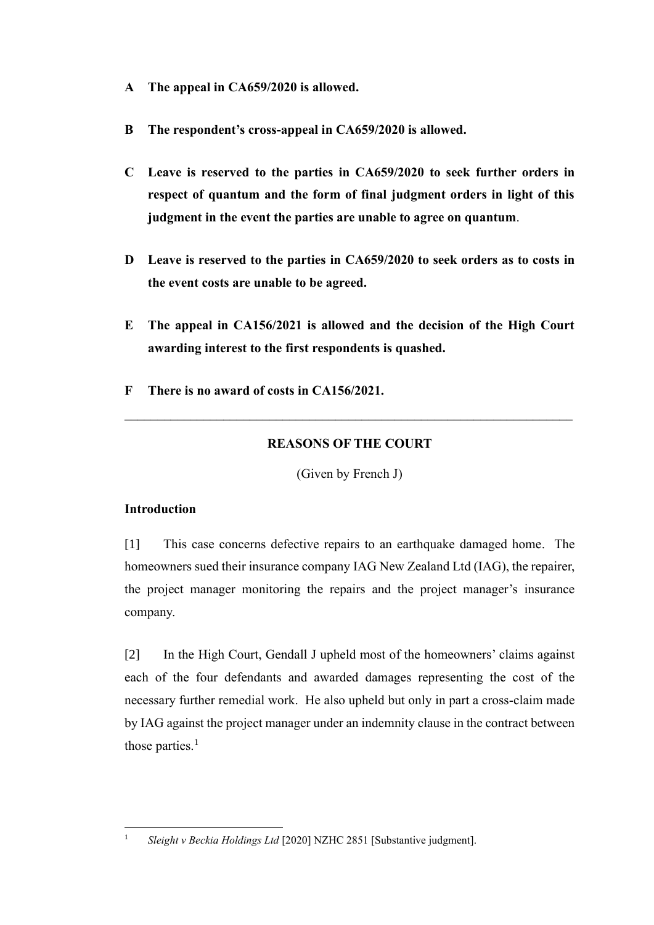- **A The appeal in CA659/2020 is allowed.**
- **B The respondent's cross-appeal in CA659/2020 is allowed.**
- **C Leave is reserved to the parties in CA659/2020 to seek further orders in respect of quantum and the form of final judgment orders in light of this judgment in the event the parties are unable to agree on quantum**.
- **D Leave is reserved to the parties in CA659/2020 to seek orders as to costs in the event costs are unable to be agreed.**
- **E The appeal in CA156/2021 is allowed and the decision of the High Court awarding interest to the first respondents is quashed.**
- **F There is no award of costs in CA156/2021.**

## **REASONS OF THE COURT**

(Given by French J)

### **Introduction**

[1] This case concerns defective repairs to an earthquake damaged home. The homeowners sued their insurance company IAG New Zealand Ltd (IAG), the repairer, the project manager monitoring the repairs and the project manager's insurance company.

<span id="page-1-0"></span>[2] In the High Court, Gendall J upheld most of the homeowners' claims against each of the four defendants and awarded damages representing the cost of the necessary further remedial work. He also upheld but only in part a cross-claim made by IAG against the project manager under an indemnity clause in the contract between those parties.<sup>1</sup>

<sup>1</sup> *Sleight v Beckia Holdings Ltd* [2020] NZHC 2851 [Substantive judgment].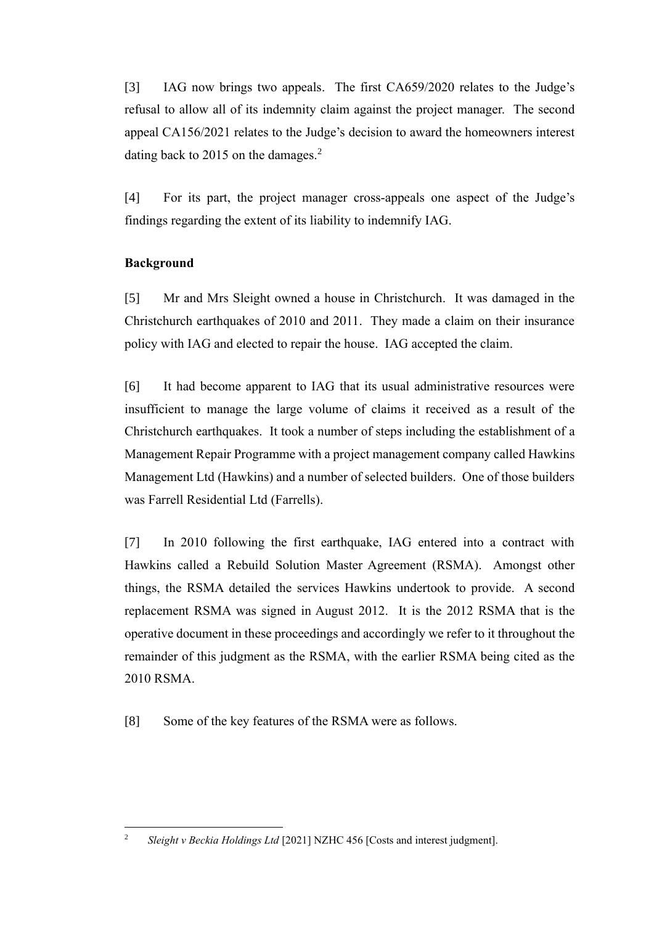[3] IAG now brings two appeals. The first CA659/2020 relates to the Judge's refusal to allow all of its indemnity claim against the project manager. The second appeal CA156/2021 relates to the Judge's decision to award the homeowners interest dating back to 2015 on the damages.<sup>2</sup>

<span id="page-2-0"></span>[4] For its part, the project manager cross-appeals one aspect of the Judge's findings regarding the extent of its liability to indemnify IAG.

### **Background**

[5] Mr and Mrs Sleight owned a house in Christchurch. It was damaged in the Christchurch earthquakes of 2010 and 2011. They made a claim on their insurance policy with IAG and elected to repair the house. IAG accepted the claim.

[6] It had become apparent to IAG that its usual administrative resources were insufficient to manage the large volume of claims it received as a result of the Christchurch earthquakes. It took a number of steps including the establishment of a Management Repair Programme with a project management company called Hawkins Management Ltd (Hawkins) and a number of selected builders. One of those builders was Farrell Residential Ltd (Farrells).

[7] In 2010 following the first earthquake, IAG entered into a contract with Hawkins called a Rebuild Solution Master Agreement (RSMA). Amongst other things, the RSMA detailed the services Hawkins undertook to provide. A second replacement RSMA was signed in August 2012. It is the 2012 RSMA that is the operative document in these proceedings and accordingly we refer to it throughout the remainder of this judgment as the RSMA, with the earlier RSMA being cited as the 2010 RSMA.

[8] Some of the key features of the RSMA were as follows.

<sup>&</sup>lt;sup>2</sup> *Sleight v Beckia Holdings Ltd* [2021] NZHC 456 [Costs and interest judgment].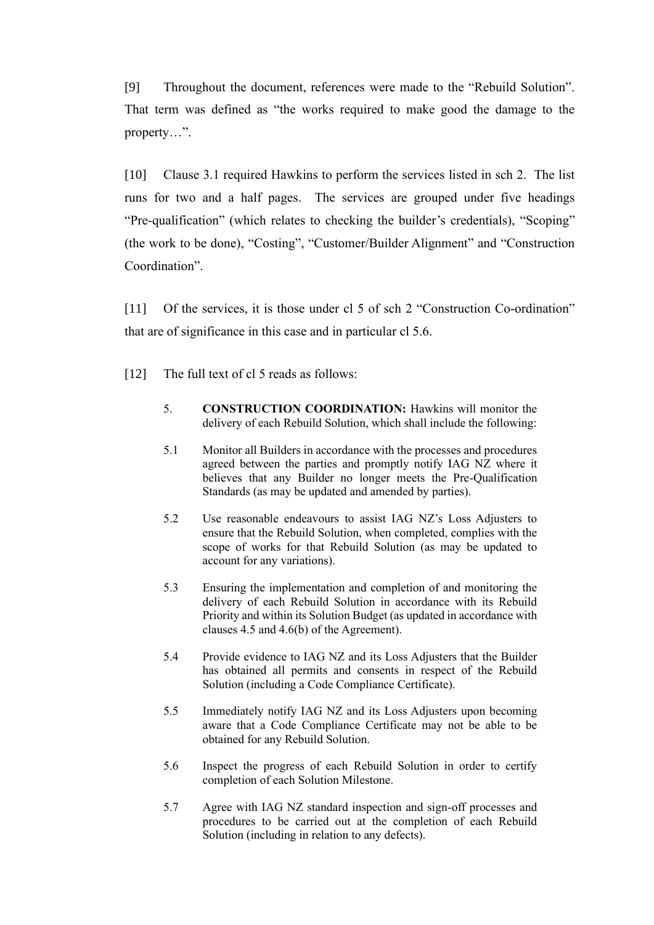[9] Throughout the document, references were made to the "Rebuild Solution". That term was defined as "the works required to make good the damage to the property…".

[10] Clause 3.1 required Hawkins to perform the services listed in sch 2. The list runs for two and a half pages. The services are grouped under five headings "Pre-qualification" (which relates to checking the builder's credentials), "Scoping" (the work to be done), "Costing", "Customer/Builder Alignment" and "Construction Coordination".

[11] Of the services, it is those under cl 5 of sch 2 "Construction Co-ordination" that are of significance in this case and in particular cl 5.6.

[12] The full text of cl 5 reads as follows:

- 5. **CONSTRUCTION COORDINATION:** Hawkins will monitor the delivery of each Rebuild Solution, which shall include the following:
- 5.1 Monitor all Builders in accordance with the processes and procedures agreed between the parties and promptly notify IAG NZ where it believes that any Builder no longer meets the Pre-Qualification Standards (as may be updated and amended by parties).
- 5.2 Use reasonable endeavours to assist IAG NZ's Loss Adjusters to ensure that the Rebuild Solution, when completed, complies with the scope of works for that Rebuild Solution (as may be updated to account for any variations).
- 5.3 Ensuring the implementation and completion of and monitoring the delivery of each Rebuild Solution in accordance with its Rebuild Priority and within its Solution Budget (as updated in accordance with clauses 4.5 and 4.6(b) of the Agreement).
- 5.4 Provide evidence to IAG NZ and its Loss Adjusters that the Builder has obtained all permits and consents in respect of the Rebuild Solution (including a Code Compliance Certificate).
- 5.5 Immediately notify IAG NZ and its Loss Adjusters upon becoming aware that a Code Compliance Certificate may not be able to be obtained for any Rebuild Solution.
- 5.6 Inspect the progress of each Rebuild Solution in order to certify completion of each Solution Milestone.
- 5.7 Agree with IAG NZ standard inspection and sign-off processes and procedures to be carried out at the completion of each Rebuild Solution (including in relation to any defects).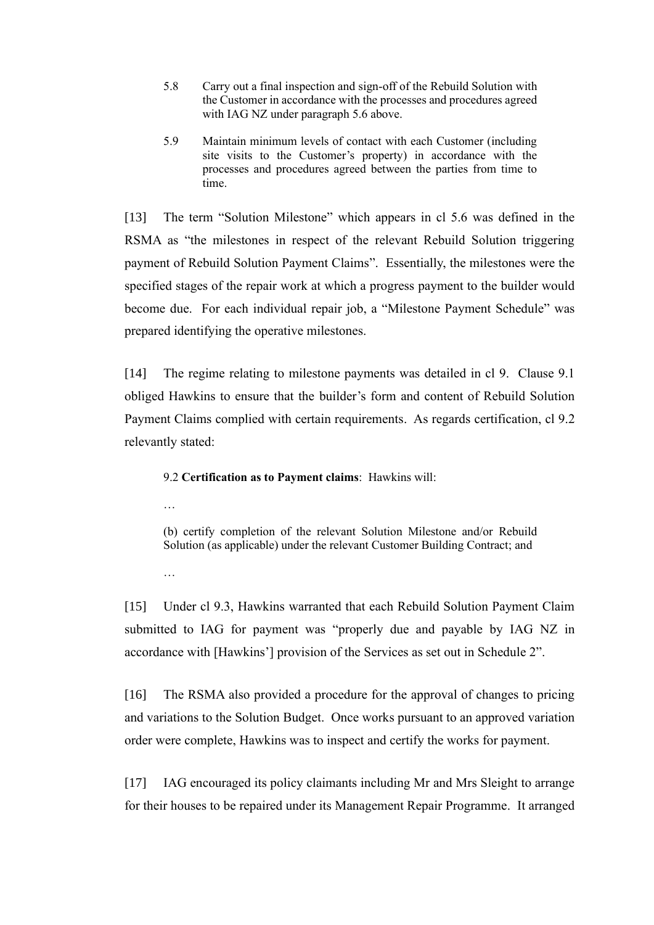- 5.8 Carry out a final inspection and sign-off of the Rebuild Solution with the Customer in accordance with the processes and procedures agreed with IAG NZ under paragraph 5.6 above.
- 5.9 Maintain minimum levels of contact with each Customer (including site visits to the Customer's property) in accordance with the processes and procedures agreed between the parties from time to time.

[13] The term "Solution Milestone" which appears in cl 5.6 was defined in the RSMA as "the milestones in respect of the relevant Rebuild Solution triggering payment of Rebuild Solution Payment Claims". Essentially, the milestones were the specified stages of the repair work at which a progress payment to the builder would become due. For each individual repair job, a "Milestone Payment Schedule" was prepared identifying the operative milestones.

[14] The regime relating to milestone payments was detailed in cl 9. Clause 9.1 obliged Hawkins to ensure that the builder's form and content of Rebuild Solution Payment Claims complied with certain requirements. As regards certification, cl 9.2 relevantly stated:

9.2 **Certification as to Payment claims**: Hawkins will:

…

(b) certify completion of the relevant Solution Milestone and/or Rebuild Solution (as applicable) under the relevant Customer Building Contract; and

…

[15] Under cl 9.3, Hawkins warranted that each Rebuild Solution Payment Claim submitted to IAG for payment was "properly due and payable by IAG NZ in accordance with [Hawkins'] provision of the Services as set out in Schedule 2".

[16] The RSMA also provided a procedure for the approval of changes to pricing and variations to the Solution Budget. Once works pursuant to an approved variation order were complete, Hawkins was to inspect and certify the works for payment.

[17] IAG encouraged its policy claimants including Mr and Mrs Sleight to arrange for their houses to be repaired under its Management Repair Programme. It arranged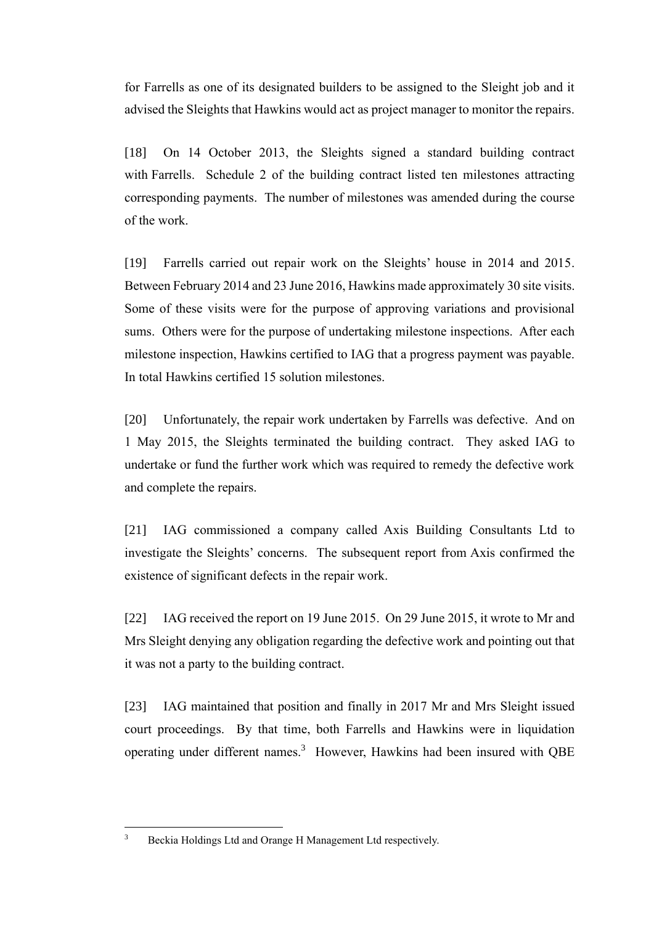for Farrells as one of its designated builders to be assigned to the Sleight job and it advised the Sleights that Hawkins would act as project manager to monitor the repairs.

[18] On 14 October 2013, the Sleights signed a standard building contract with Farrells. Schedule 2 of the building contract listed ten milestones attracting corresponding payments. The number of milestones was amended during the course of the work.

[19] Farrells carried out repair work on the Sleights' house in 2014 and 2015. Between February 2014 and 23 June 2016, Hawkins made approximately 30 site visits. Some of these visits were for the purpose of approving variations and provisional sums. Others were for the purpose of undertaking milestone inspections. After each milestone inspection, Hawkins certified to IAG that a progress payment was payable. In total Hawkins certified 15 solution milestones.

[20] Unfortunately, the repair work undertaken by Farrells was defective. And on 1 May 2015, the Sleights terminated the building contract. They asked IAG to undertake or fund the further work which was required to remedy the defective work and complete the repairs.

[21] IAG commissioned a company called Axis Building Consultants Ltd to investigate the Sleights' concerns. The subsequent report from Axis confirmed the existence of significant defects in the repair work.

[22] IAG received the report on 19 June 2015. On 29 June 2015, it wrote to Mr and Mrs Sleight denying any obligation regarding the defective work and pointing out that it was not a party to the building contract.

[23] IAG maintained that position and finally in 2017 Mr and Mrs Sleight issued court proceedings. By that time, both Farrells and Hawkins were in liquidation operating under different names. 3 However, Hawkins had been insured with QBE

<sup>3</sup> Beckia Holdings Ltd and Orange H Management Ltd respectively.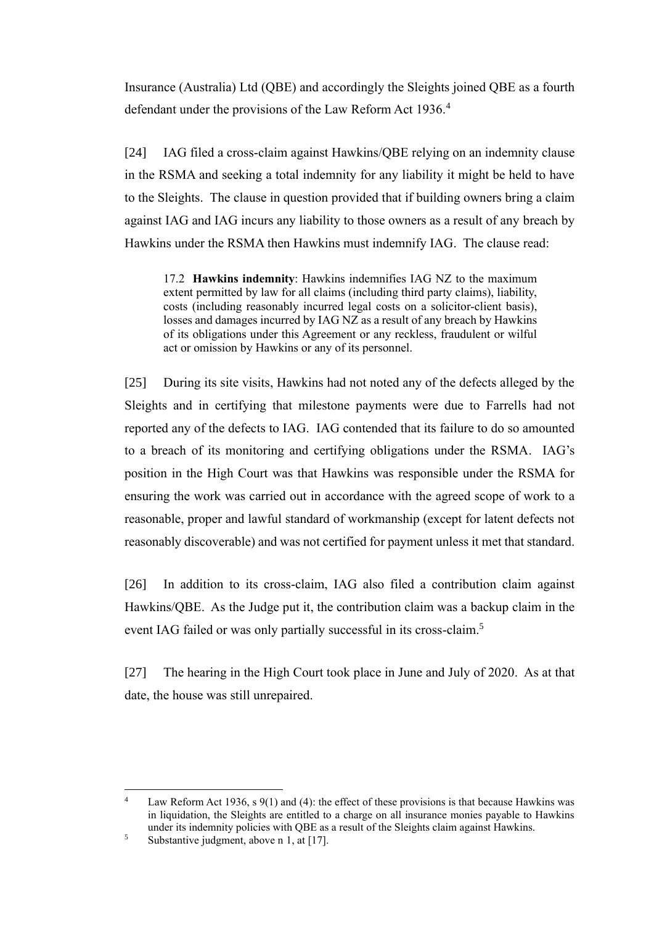Insurance (Australia) Ltd (QBE) and accordingly the Sleights joined QBE as a fourth defendant under the provisions of the Law Reform Act 1936.<sup>4</sup>

[24] IAG filed a cross-claim against Hawkins/QBE relying on an indemnity clause in the RSMA and seeking a total indemnity for any liability it might be held to have to the Sleights. The clause in question provided that if building owners bring a claim against IAG and IAG incurs any liability to those owners as a result of any breach by Hawkins under the RSMA then Hawkins must indemnify IAG. The clause read:

17.2 **Hawkins indemnity**: Hawkins indemnifies IAG NZ to the maximum extent permitted by law for all claims (including third party claims), liability, costs (including reasonably incurred legal costs on a solicitor-client basis), losses and damages incurred by IAG NZ as a result of any breach by Hawkins of its obligations under this Agreement or any reckless, fraudulent or wilful act or omission by Hawkins or any of its personnel.

[25] During its site visits, Hawkins had not noted any of the defects alleged by the Sleights and in certifying that milestone payments were due to Farrells had not reported any of the defects to IAG. IAG contended that its failure to do so amounted to a breach of its monitoring and certifying obligations under the RSMA. IAG's position in the High Court was that Hawkins was responsible under the RSMA for ensuring the work was carried out in accordance with the agreed scope of work to a reasonable, proper and lawful standard of workmanship (except for latent defects not reasonably discoverable) and was not certified for payment unless it met that standard.

[26] In addition to its cross-claim, IAG also filed a contribution claim against Hawkins/QBE. As the Judge put it, the contribution claim was a backup claim in the event IAG failed or was only partially successful in its cross-claim.<sup>5</sup>

[27] The hearing in the High Court took place in June and July of 2020. As at that date, the house was still unrepaired.

<sup>&</sup>lt;sup>4</sup> Law Reform Act 1936, s 9(1) and (4): the effect of these provisions is that because Hawkins was in liquidation, the Sleights are entitled to a charge on all insurance monies payable to Hawkins under its indemnity policies with QBE as a result of the Sleights claim against Hawkins.

<sup>&</sup>lt;sup>5</sup> Substantive judgment, above n [1,](#page-1-0) at [17].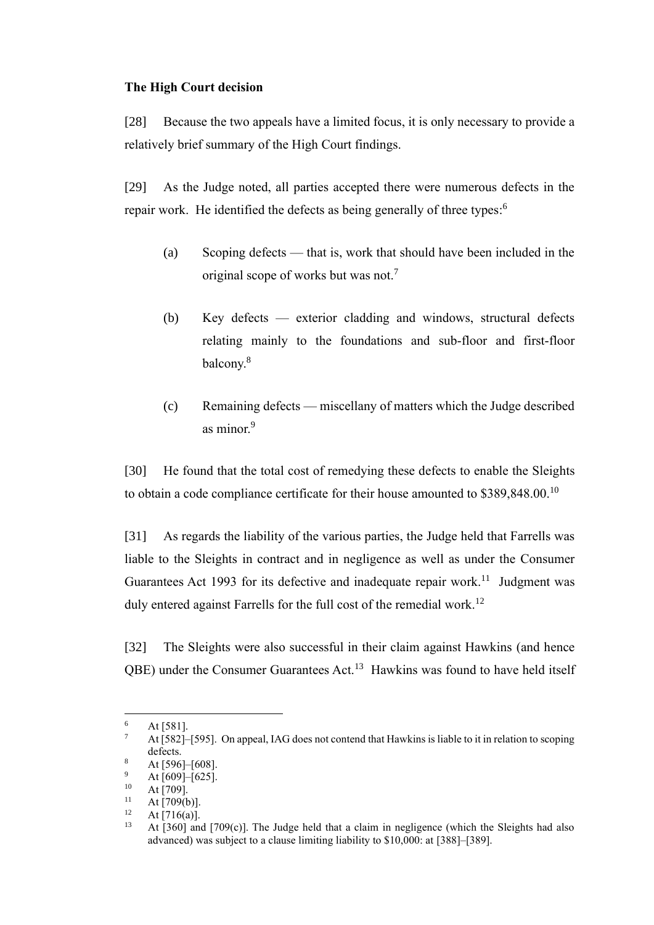#### **The High Court decision**

[28] Because the two appeals have a limited focus, it is only necessary to provide a relatively brief summary of the High Court findings.

[29] As the Judge noted, all parties accepted there were numerous defects in the repair work. He identified the defects as being generally of three types:<sup>6</sup>

- (a) Scoping defects that is, work that should have been included in the original scope of works but was not.<sup>7</sup>
- (b) Key defects exterior cladding and windows, structural defects relating mainly to the foundations and sub-floor and first-floor balcony. 8
- (c) Remaining defects miscellany of matters which the Judge described as minor.<sup>9</sup>

[30] He found that the total cost of remedying these defects to enable the Sleights to obtain a code compliance certificate for their house amounted to  $$389,848.00$ .<sup>10</sup>

[31] As regards the liability of the various parties, the Judge held that Farrells was liable to the Sleights in contract and in negligence as well as under the Consumer Guarantees Act 1993 for its defective and inadequate repair work.<sup>11</sup> Judgment was duly entered against Farrells for the full cost of the remedial work.<sup>12</sup>

[32] The Sleights were also successful in their claim against Hawkins (and hence QBE) under the Consumer Guarantees Act.<sup>13</sup> Hawkins was found to have held itself

 $^{6}$  At [581].

At [582]–[595]. On appeal, IAG does not contend that Hawkins is liable to it in relation to scoping defects.

 $\frac{8}{9}$  At [596]–[608].

 $^{9}$  At [609]–[625].

 $10$  At [709].<br> $11 \tA + 709$ 

 $11$  At [709(b)].<br> $12$  At [716(a)]

 $12 \text{ At } [716(a)].$ <br> $13 \text{ At } [360]$  and

At  $[360]$  and  $[709(c)]$ . The Judge held that a claim in negligence (which the Sleights had also advanced) was subject to a clause limiting liability to \$10,000: at [388]–[389].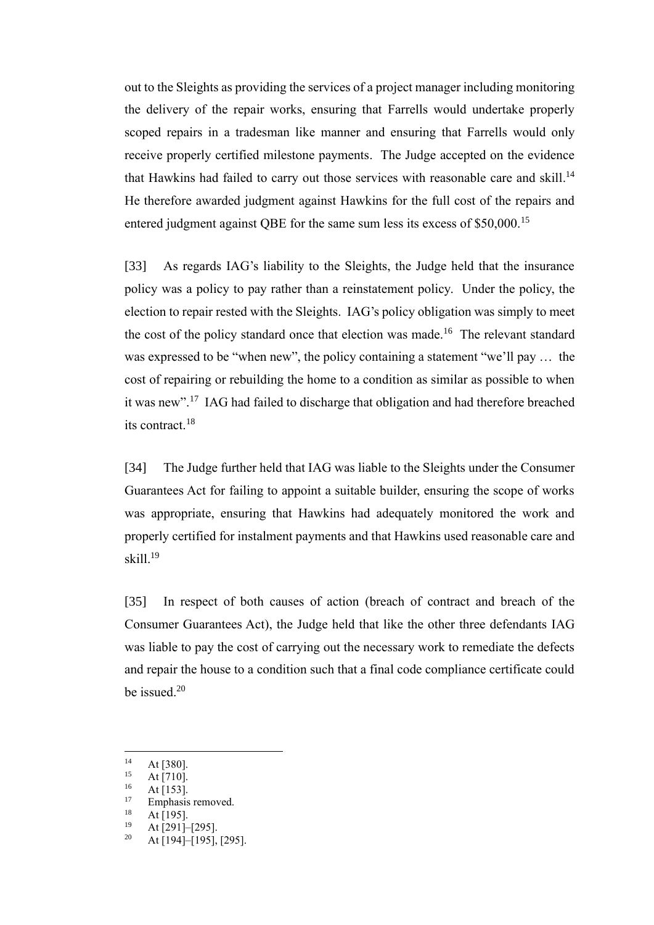out to the Sleights as providing the services of a project manager including monitoring the delivery of the repair works, ensuring that Farrells would undertake properly scoped repairs in a tradesman like manner and ensuring that Farrells would only receive properly certified milestone payments. The Judge accepted on the evidence that Hawkins had failed to carry out those services with reasonable care and skill.<sup>14</sup> He therefore awarded judgment against Hawkins for the full cost of the repairs and entered judgment against QBE for the same sum less its excess of \$50,000.<sup>15</sup>

[33] As regards IAG's liability to the Sleights, the Judge held that the insurance policy was a policy to pay rather than a reinstatement policy. Under the policy, the election to repair rested with the Sleights. IAG's policy obligation was simply to meet the cost of the policy standard once that election was made.<sup>16</sup> The relevant standard was expressed to be "when new", the policy containing a statement "we'll pay … the cost of repairing or rebuilding the home to a condition as similar as possible to when it was new".<sup>17</sup> IAG had failed to discharge that obligation and had therefore breached its contract. 18

[34] The Judge further held that IAG was liable to the Sleights under the Consumer Guarantees Act for failing to appoint a suitable builder, ensuring the scope of works was appropriate, ensuring that Hawkins had adequately monitored the work and properly certified for instalment payments and that Hawkins used reasonable care and skill.<sup>19</sup>

[35] In respect of both causes of action (breach of contract and breach of the Consumer Guarantees Act), the Judge held that like the other three defendants IAG was liable to pay the cost of carrying out the necessary work to remediate the defects and repair the house to a condition such that a final code compliance certificate could be issued.<sup>20</sup>

<sup>&</sup>lt;sup>14</sup> At [380].

 $15$  At [710].

At [153].

<sup>&</sup>lt;sup>17</sup> Emphasis removed.

 $18$  At [195].

At [291]–[295].

 $20$  At [194]–[195], [295].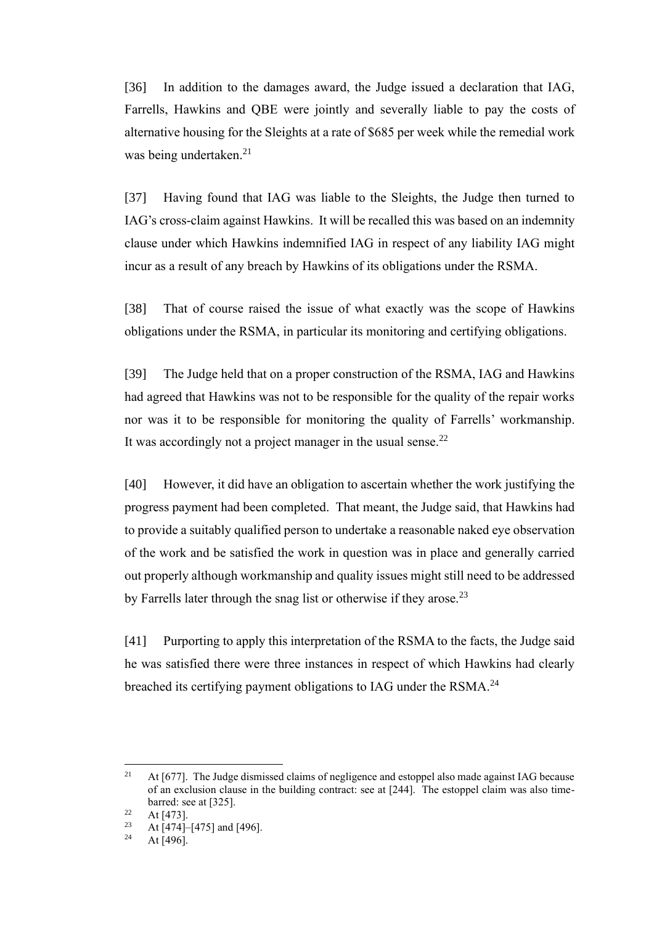[36] In addition to the damages award, the Judge issued a declaration that IAG, Farrells, Hawkins and QBE were jointly and severally liable to pay the costs of alternative housing for the Sleights at a rate of \$685 per week while the remedial work was being undertaken.<sup>21</sup>

[37] Having found that IAG was liable to the Sleights, the Judge then turned to IAG's cross-claim against Hawkins. It will be recalled this was based on an indemnity clause under which Hawkins indemnified IAG in respect of any liability IAG might incur as a result of any breach by Hawkins of its obligations under the RSMA.

[38] That of course raised the issue of what exactly was the scope of Hawkins obligations under the RSMA, in particular its monitoring and certifying obligations.

[39] The Judge held that on a proper construction of the RSMA, IAG and Hawkins had agreed that Hawkins was not to be responsible for the quality of the repair works nor was it to be responsible for monitoring the quality of Farrells' workmanship. It was accordingly not a project manager in the usual sense.<sup>22</sup>

[40] However, it did have an obligation to ascertain whether the work justifying the progress payment had been completed. That meant, the Judge said, that Hawkins had to provide a suitably qualified person to undertake a reasonable naked eye observation of the work and be satisfied the work in question was in place and generally carried out properly although workmanship and quality issues might still need to be addressed by Farrells later through the snag list or otherwise if they arose.<sup>23</sup>

[41] Purporting to apply this interpretation of the RSMA to the facts, the Judge said he was satisfied there were three instances in respect of which Hawkins had clearly breached its certifying payment obligations to IAG under the RSMA.<sup>24</sup>

 $21$  At [677]. The Judge dismissed claims of negligence and estoppel also made against IAG because of an exclusion clause in the building contract: see at [244]. The estoppel claim was also timebarred: see at [325].

<sup>&</sup>lt;sup>22</sup> At [473].

<sup>&</sup>lt;sup>23</sup> At [474]–[475] and [496].

At [496].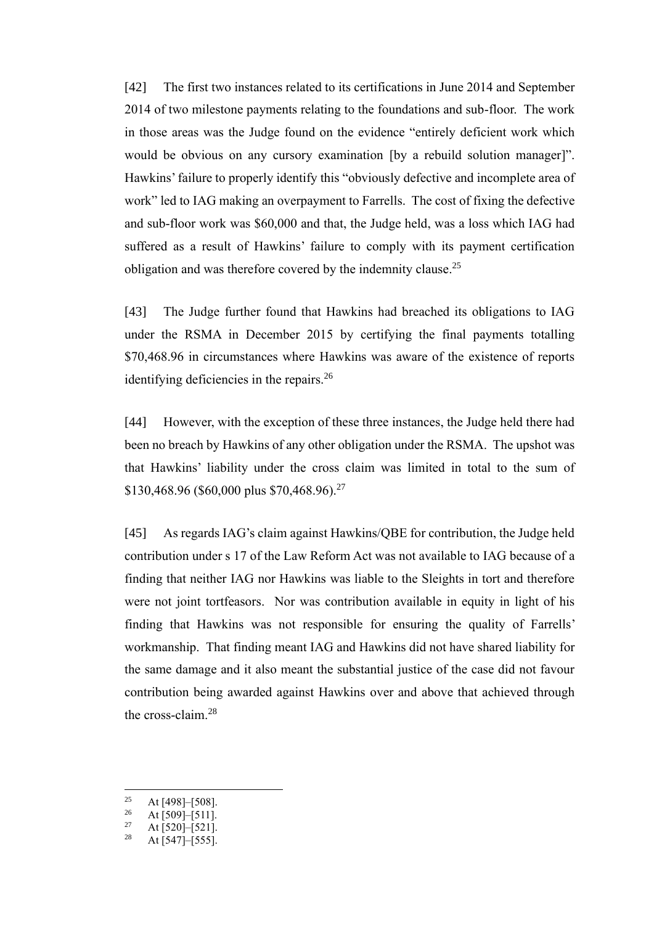[42] The first two instances related to its certifications in June 2014 and September 2014 of two milestone payments relating to the foundations and sub-floor. The work in those areas was the Judge found on the evidence "entirely deficient work which would be obvious on any cursory examination [by a rebuild solution manager]". Hawkins'failure to properly identify this "obviously defective and incomplete area of work" led to IAG making an overpayment to Farrells. The cost of fixing the defective and sub-floor work was \$60,000 and that, the Judge held, was a loss which IAG had suffered as a result of Hawkins' failure to comply with its payment certification obligation and was therefore covered by the indemnity clause.<sup>25</sup>

[43] The Judge further found that Hawkins had breached its obligations to IAG under the RSMA in December 2015 by certifying the final payments totalling \$70,468.96 in circumstances where Hawkins was aware of the existence of reports identifying deficiencies in the repairs.<sup>26</sup>

[44] However, with the exception of these three instances, the Judge held there had been no breach by Hawkins of any other obligation under the RSMA. The upshot was that Hawkins' liability under the cross claim was limited in total to the sum of \$130,468.96 (\$60,000 plus \$70,468.96).<sup>27</sup>

[45] As regards IAG's claim against Hawkins/QBE for contribution, the Judge held contribution under s 17 of the Law Reform Act was not available to IAG because of a finding that neither IAG nor Hawkins was liable to the Sleights in tort and therefore were not joint tortfeasors. Nor was contribution available in equity in light of his finding that Hawkins was not responsible for ensuring the quality of Farrells' workmanship. That finding meant IAG and Hawkins did not have shared liability for the same damage and it also meant the substantial justice of the case did not favour contribution being awarded against Hawkins over and above that achieved through the cross-claim.<sup>28</sup>

<sup>&</sup>lt;sup>25</sup> At [498]–[508].

 $26$  At [509]–[511].

At [520]–[521].

<sup>&</sup>lt;sup>28</sup> At [547]–[555].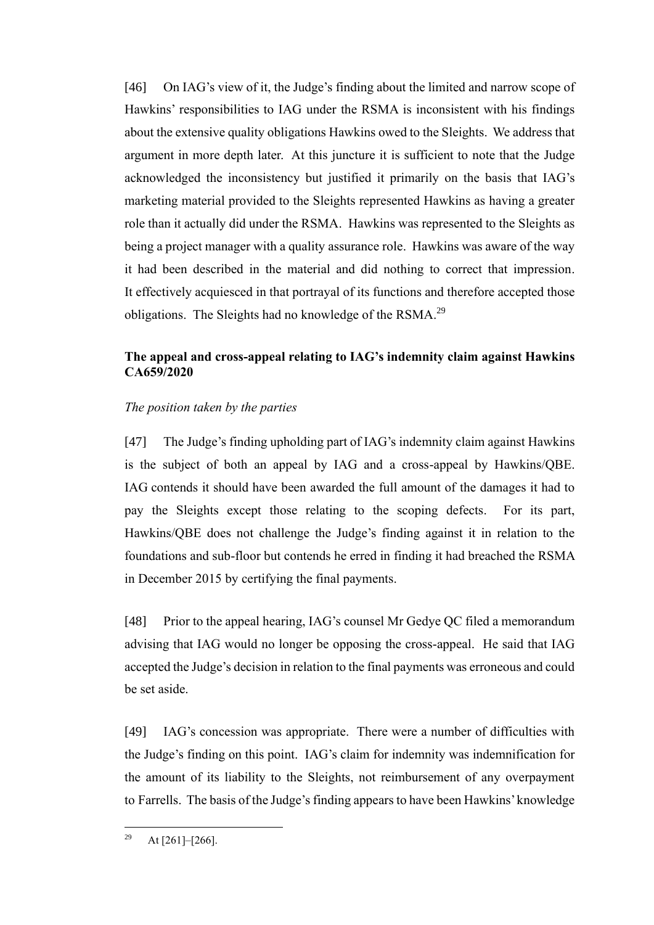[46] On IAG's view of it, the Judge's finding about the limited and narrow scope of Hawkins' responsibilities to IAG under the RSMA is inconsistent with his findings about the extensive quality obligations Hawkins owed to the Sleights. We address that argument in more depth later. At this juncture it is sufficient to note that the Judge acknowledged the inconsistency but justified it primarily on the basis that IAG's marketing material provided to the Sleights represented Hawkins as having a greater role than it actually did under the RSMA. Hawkins was represented to the Sleights as being a project manager with a quality assurance role. Hawkins was aware of the way it had been described in the material and did nothing to correct that impression. It effectively acquiesced in that portrayal of its functions and therefore accepted those obligations. The Sleights had no knowledge of the RSMA.<sup>29</sup>

### **The appeal and cross-appeal relating to IAG's indemnity claim against Hawkins CA659/2020**

#### *The position taken by the parties*

[47] The Judge's finding upholding part of IAG's indemnity claim against Hawkins is the subject of both an appeal by IAG and a cross-appeal by Hawkins/QBE. IAG contends it should have been awarded the full amount of the damages it had to pay the Sleights except those relating to the scoping defects. For its part, Hawkins/QBE does not challenge the Judge's finding against it in relation to the foundations and sub-floor but contends he erred in finding it had breached the RSMA in December 2015 by certifying the final payments.

[48] Prior to the appeal hearing, IAG's counsel Mr Gedye QC filed a memorandum advising that IAG would no longer be opposing the cross-appeal. He said that IAG accepted the Judge's decision in relation to the final payments was erroneous and could be set aside.

[49] IAG's concession was appropriate. There were a number of difficulties with the Judge's finding on this point. IAG's claim for indemnity was indemnification for the amount of its liability to the Sleights, not reimbursement of any overpayment to Farrells. The basis of the Judge's finding appears to have been Hawkins' knowledge

<sup>&</sup>lt;sup>29</sup> At  $[261]$ – $[266]$ .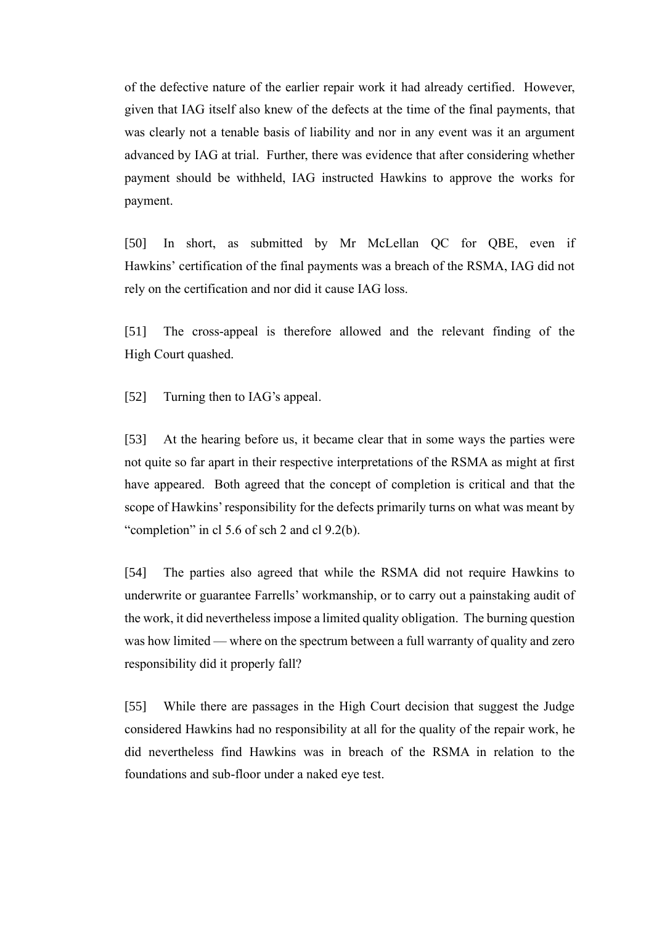of the defective nature of the earlier repair work it had already certified. However, given that IAG itself also knew of the defects at the time of the final payments, that was clearly not a tenable basis of liability and nor in any event was it an argument advanced by IAG at trial. Further, there was evidence that after considering whether payment should be withheld, IAG instructed Hawkins to approve the works for payment.

[50] In short, as submitted by Mr McLellan QC for QBE, even if Hawkins' certification of the final payments was a breach of the RSMA, IAG did not rely on the certification and nor did it cause IAG loss.

[51] The cross-appeal is therefore allowed and the relevant finding of the High Court quashed.

[52] Turning then to IAG's appeal.

[53] At the hearing before us, it became clear that in some ways the parties were not quite so far apart in their respective interpretations of the RSMA as might at first have appeared. Both agreed that the concept of completion is critical and that the scope of Hawkins'responsibility for the defects primarily turns on what was meant by "completion" in cl 5.6 of sch 2 and cl 9.2(b).

[54] The parties also agreed that while the RSMA did not require Hawkins to underwrite or guarantee Farrells' workmanship, or to carry out a painstaking audit of the work, it did nevertheless impose a limited quality obligation. The burning question was how limited — where on the spectrum between a full warranty of quality and zero responsibility did it properly fall?

[55] While there are passages in the High Court decision that suggest the Judge considered Hawkins had no responsibility at all for the quality of the repair work, he did nevertheless find Hawkins was in breach of the RSMA in relation to the foundations and sub-floor under a naked eye test.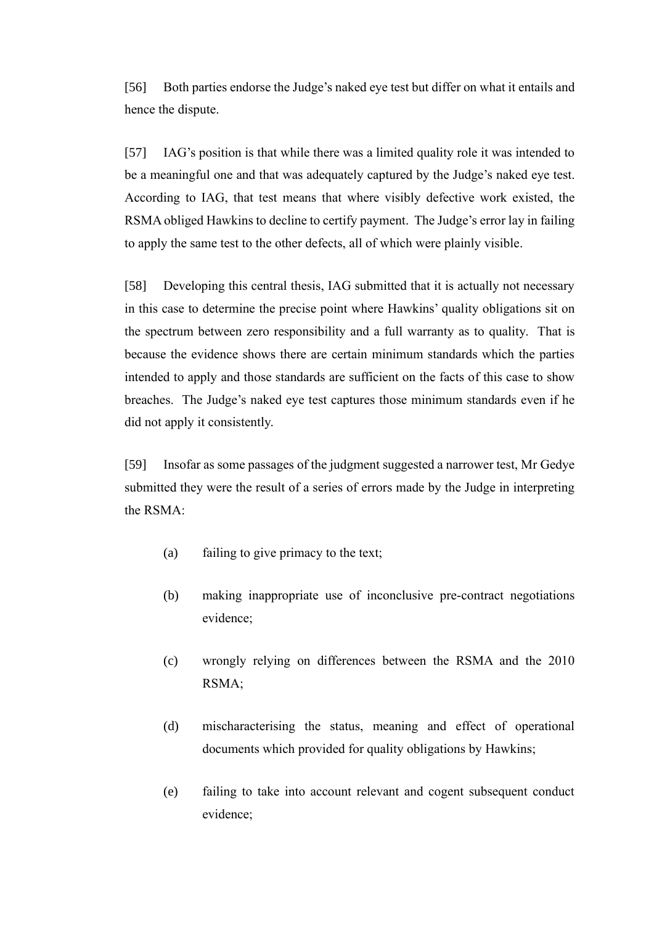[56] Both parties endorse the Judge's naked eye test but differ on what it entails and hence the dispute.

[57] IAG's position is that while there was a limited quality role it was intended to be a meaningful one and that was adequately captured by the Judge's naked eye test. According to IAG, that test means that where visibly defective work existed, the RSMA obliged Hawkins to decline to certify payment. The Judge's error lay in failing to apply the same test to the other defects, all of which were plainly visible.

[58] Developing this central thesis, IAG submitted that it is actually not necessary in this case to determine the precise point where Hawkins' quality obligations sit on the spectrum between zero responsibility and a full warranty as to quality. That is because the evidence shows there are certain minimum standards which the parties intended to apply and those standards are sufficient on the facts of this case to show breaches. The Judge's naked eye test captures those minimum standards even if he did not apply it consistently.

[59] Insofar as some passages of the judgment suggested a narrower test, Mr Gedye submitted they were the result of a series of errors made by the Judge in interpreting the RSMA:

- (a) failing to give primacy to the text;
- (b) making inappropriate use of inconclusive pre-contract negotiations evidence;
- (c) wrongly relying on differences between the RSMA and the 2010 RSMA;
- (d) mischaracterising the status, meaning and effect of operational documents which provided for quality obligations by Hawkins;
- (e) failing to take into account relevant and cogent subsequent conduct evidence;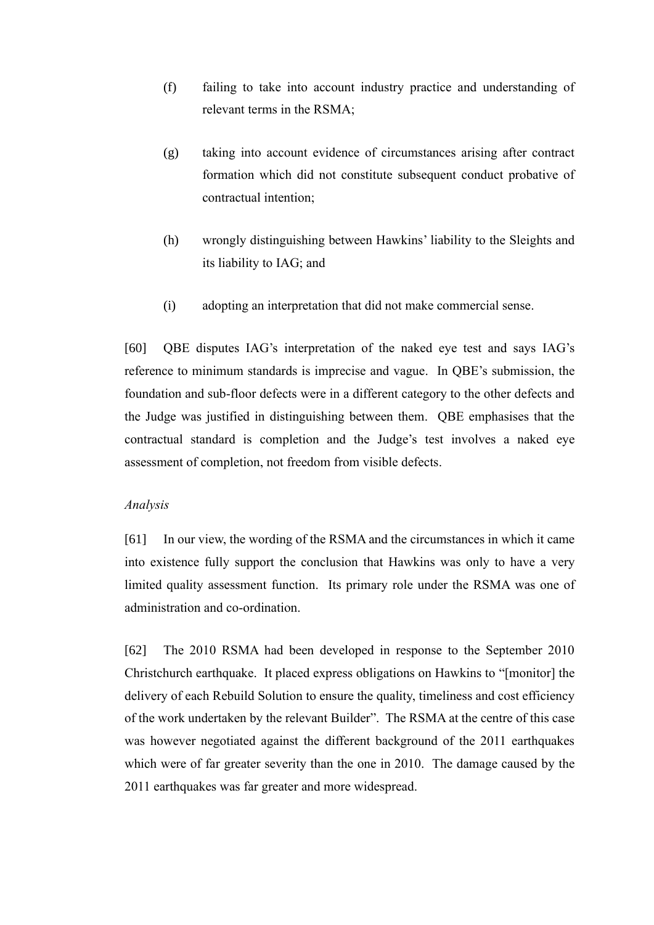- (f) failing to take into account industry practice and understanding of relevant terms in the RSMA;
- (g) taking into account evidence of circumstances arising after contract formation which did not constitute subsequent conduct probative of contractual intention;
- (h) wrongly distinguishing between Hawkins' liability to the Sleights and its liability to IAG; and
- (i) adopting an interpretation that did not make commercial sense.

[60] QBE disputes IAG's interpretation of the naked eye test and says IAG's reference to minimum standards is imprecise and vague. In QBE's submission, the foundation and sub-floor defects were in a different category to the other defects and the Judge was justified in distinguishing between them. QBE emphasises that the contractual standard is completion and the Judge's test involves a naked eye assessment of completion, not freedom from visible defects.

#### *Analysis*

[61] In our view, the wording of the RSMA and the circumstances in which it came into existence fully support the conclusion that Hawkins was only to have a very limited quality assessment function. Its primary role under the RSMA was one of administration and co-ordination.

[62] The 2010 RSMA had been developed in response to the September 2010 Christchurch earthquake. It placed express obligations on Hawkins to "[monitor] the delivery of each Rebuild Solution to ensure the quality, timeliness and cost efficiency of the work undertaken by the relevant Builder". The RSMA at the centre of this case was however negotiated against the different background of the 2011 earthquakes which were of far greater severity than the one in 2010. The damage caused by the 2011 earthquakes was far greater and more widespread.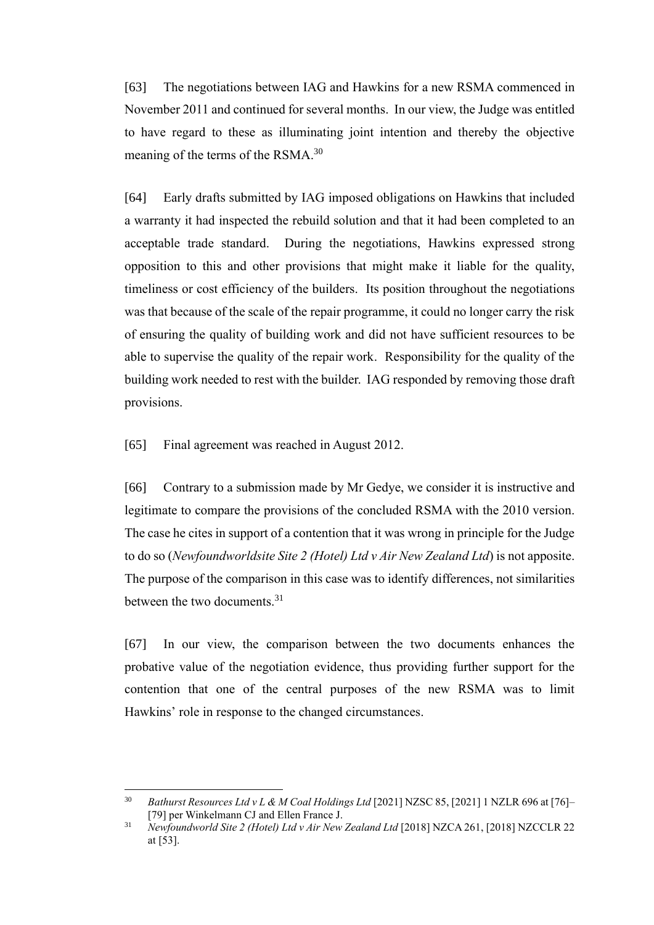[63] The negotiations between IAG and Hawkins for a new RSMA commenced in November 2011 and continued for several months. In our view, the Judge was entitled to have regard to these as illuminating joint intention and thereby the objective meaning of the terms of the RSMA.<sup>30</sup>

<span id="page-15-0"></span>[64] Early drafts submitted by IAG imposed obligations on Hawkins that included a warranty it had inspected the rebuild solution and that it had been completed to an acceptable trade standard. During the negotiations, Hawkins expressed strong opposition to this and other provisions that might make it liable for the quality, timeliness or cost efficiency of the builders. Its position throughout the negotiations was that because of the scale of the repair programme, it could no longer carry the risk of ensuring the quality of building work and did not have sufficient resources to be able to supervise the quality of the repair work. Responsibility for the quality of the building work needed to rest with the builder. IAG responded by removing those draft provisions.

[65] Final agreement was reached in August 2012.

[66] Contrary to a submission made by Mr Gedye, we consider it is instructive and legitimate to compare the provisions of the concluded RSMA with the 2010 version. The case he cites in support of a contention that it was wrong in principle for the Judge to do so (*Newfoundworldsite Site 2 (Hotel) Ltd v Air New Zealand Ltd*) is not apposite. The purpose of the comparison in this case was to identify differences, not similarities between the two documents.<sup>31</sup>

[67] In our view, the comparison between the two documents enhances the probative value of the negotiation evidence, thus providing further support for the contention that one of the central purposes of the new RSMA was to limit Hawkins' role in response to the changed circumstances.

<sup>30</sup> *Bathurst Resources Ltd v L & M Coal Holdings Ltd* [2021] NZSC 85, [2021] 1 NZLR 696 at [76]– [79] per Winkelmann CJ and Ellen France J.

<sup>&</sup>lt;sup>31</sup> *Newfoundworld Site 2 (Hotel) Ltd v Air New Zealand Ltd* [2018] NZCA 261, [2018] NZCCLR 22 at [53].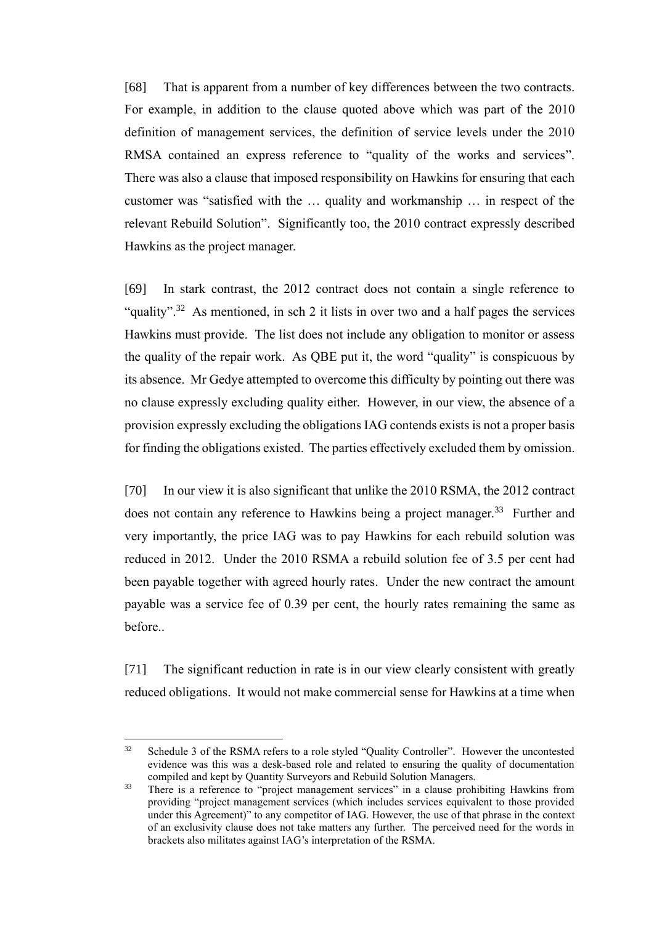[68] That is apparent from a number of key differences between the two contracts. For example, in addition to the clause quoted above which was part of the 2010 definition of management services, the definition of service levels under the 2010 RMSA contained an express reference to "quality of the works and services". There was also a clause that imposed responsibility on Hawkins for ensuring that each customer was "satisfied with the … quality and workmanship … in respect of the relevant Rebuild Solution". Significantly too, the 2010 contract expressly described Hawkins as the project manager.

[69] In stark contrast, the 2012 contract does not contain a single reference to "quality".<sup>32</sup> As mentioned, in sch 2 it lists in over two and a half pages the services Hawkins must provide. The list does not include any obligation to monitor or assess the quality of the repair work. As QBE put it, the word "quality" is conspicuous by its absence. Mr Gedye attempted to overcome this difficulty by pointing out there was no clause expressly excluding quality either. However, in our view, the absence of a provision expressly excluding the obligations IAG contends exists is not a proper basis for finding the obligations existed. The parties effectively excluded them by omission.

[70] In our view it is also significant that unlike the 2010 RSMA, the 2012 contract does not contain any reference to Hawkins being a project manager.<sup>33</sup> Further and very importantly, the price IAG was to pay Hawkins for each rebuild solution was reduced in 2012. Under the 2010 RSMA a rebuild solution fee of 3.5 per cent had been payable together with agreed hourly rates. Under the new contract the amount payable was a service fee of 0.39 per cent, the hourly rates remaining the same as before..

[71] The significant reduction in rate is in our view clearly consistent with greatly reduced obligations. It would not make commercial sense for Hawkins at a time when

<sup>&</sup>lt;sup>32</sup> Schedule 3 of the RSMA refers to a role styled "Quality Controller". However the uncontested evidence was this was a desk-based role and related to ensuring the quality of documentation compiled and kept by Quantity Surveyors and Rebuild Solution Managers.

<sup>&</sup>lt;sup>33</sup> There is a reference to "project management services" in a clause prohibiting Hawkins from providing "project management services (which includes services equivalent to those provided under this Agreement)" to any competitor of IAG. However, the use of that phrase in the context of an exclusivity clause does not take matters any further. The perceived need for the words in brackets also militates against IAG's interpretation of the RSMA.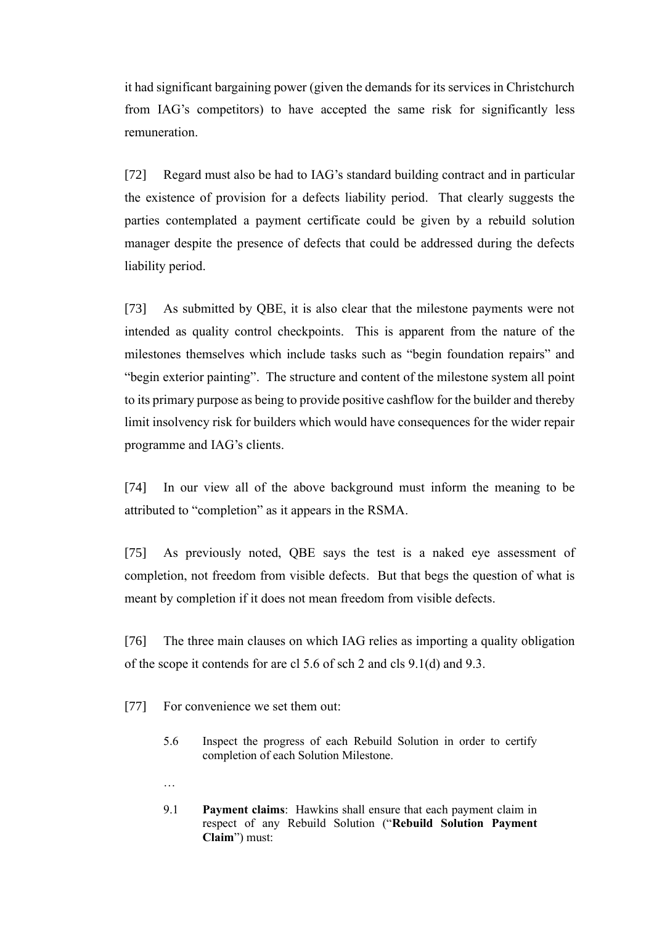it had significant bargaining power (given the demands for its services in Christchurch from IAG's competitors) to have accepted the same risk for significantly less remuneration.

[72] Regard must also be had to IAG's standard building contract and in particular the existence of provision for a defects liability period. That clearly suggests the parties contemplated a payment certificate could be given by a rebuild solution manager despite the presence of defects that could be addressed during the defects liability period.

[73] As submitted by QBE, it is also clear that the milestone payments were not intended as quality control checkpoints. This is apparent from the nature of the milestones themselves which include tasks such as "begin foundation repairs" and "begin exterior painting". The structure and content of the milestone system all point to its primary purpose as being to provide positive cashflow for the builder and thereby limit insolvency risk for builders which would have consequences for the wider repair programme and IAG's clients.

[74] In our view all of the above background must inform the meaning to be attributed to "completion" as it appears in the RSMA.

[75] As previously noted, QBE says the test is a naked eye assessment of completion, not freedom from visible defects. But that begs the question of what is meant by completion if it does not mean freedom from visible defects.

[76] The three main clauses on which IAG relies as importing a quality obligation of the scope it contends for are cl 5.6 of sch 2 and cls 9.1(d) and 9.3.

[77] For convenience we set them out:

…

- 5.6 Inspect the progress of each Rebuild Solution in order to certify completion of each Solution Milestone.
- 9.1 **Payment claims**: Hawkins shall ensure that each payment claim in respect of any Rebuild Solution ("**Rebuild Solution Payment Claim**") must: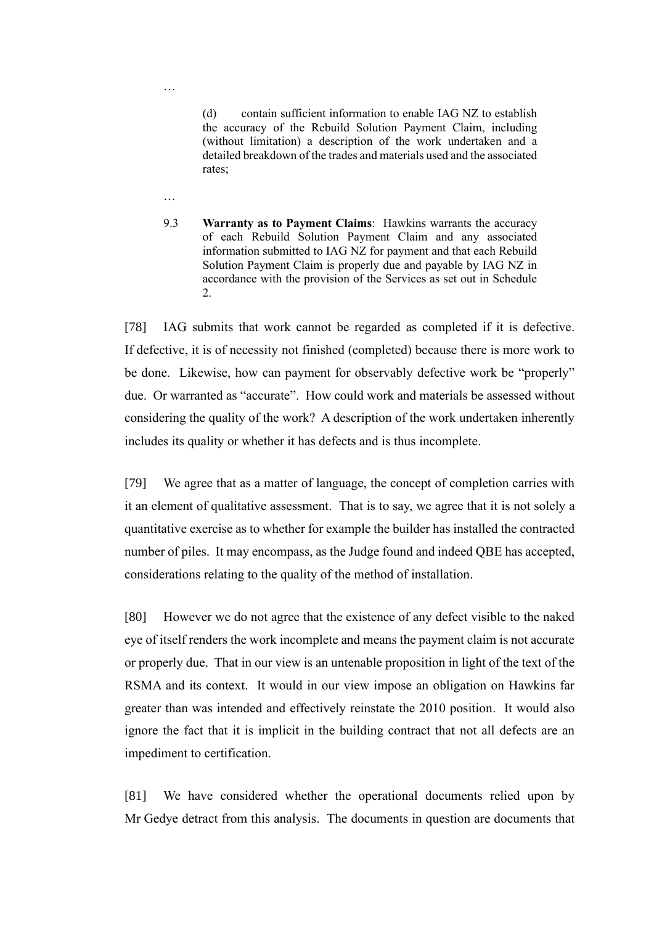(d) contain sufficient information to enable IAG NZ to establish the accuracy of the Rebuild Solution Payment Claim, including (without limitation) a description of the work undertaken and a detailed breakdown of the trades and materials used and the associated rates;

…

…

9.3 **Warranty as to Payment Claims**: Hawkins warrants the accuracy of each Rebuild Solution Payment Claim and any associated information submitted to IAG NZ for payment and that each Rebuild Solution Payment Claim is properly due and payable by IAG NZ in accordance with the provision of the Services as set out in Schedule 2.

[78] IAG submits that work cannot be regarded as completed if it is defective. If defective, it is of necessity not finished (completed) because there is more work to be done. Likewise, how can payment for observably defective work be "properly" due. Or warranted as "accurate". How could work and materials be assessed without considering the quality of the work? A description of the work undertaken inherently includes its quality or whether it has defects and is thus incomplete.

[79] We agree that as a matter of language, the concept of completion carries with it an element of qualitative assessment. That is to say, we agree that it is not solely a quantitative exercise as to whether for example the builder has installed the contracted number of piles. It may encompass, as the Judge found and indeed QBE has accepted, considerations relating to the quality of the method of installation.

[80] However we do not agree that the existence of any defect visible to the naked eye of itself renders the work incomplete and means the payment claim is not accurate or properly due. That in our view is an untenable proposition in light of the text of the RSMA and its context. It would in our view impose an obligation on Hawkins far greater than was intended and effectively reinstate the 2010 position. It would also ignore the fact that it is implicit in the building contract that not all defects are an impediment to certification.

[81] We have considered whether the operational documents relied upon by Mr Gedye detract from this analysis. The documents in question are documents that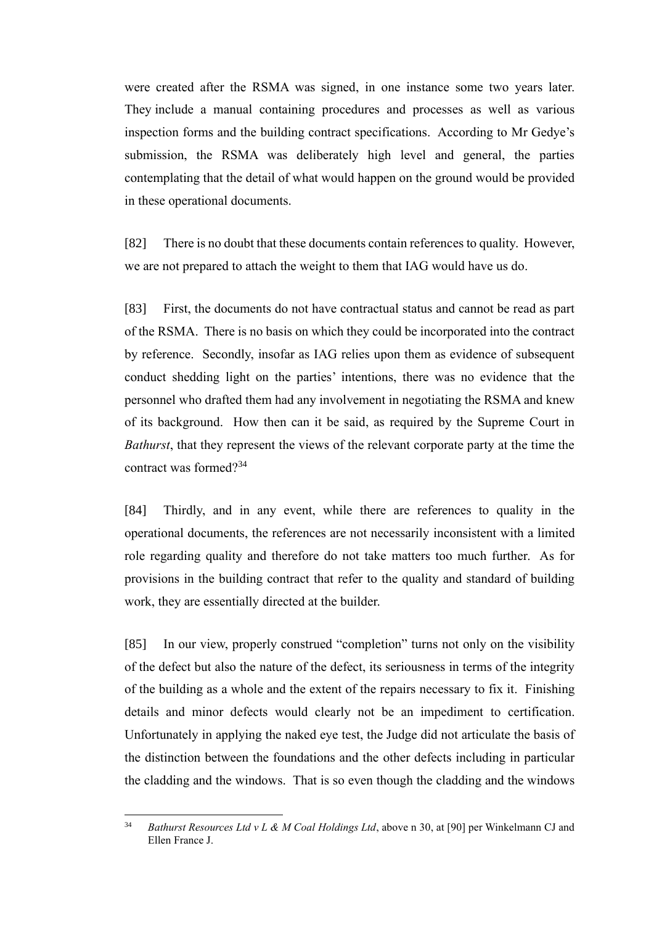were created after the RSMA was signed, in one instance some two years later. They include a manual containing procedures and processes as well as various inspection forms and the building contract specifications. According to Mr Gedye's submission, the RSMA was deliberately high level and general, the parties contemplating that the detail of what would happen on the ground would be provided in these operational documents.

[82] There is no doubt that these documents contain references to quality. However, we are not prepared to attach the weight to them that IAG would have us do.

[83] First, the documents do not have contractual status and cannot be read as part of the RSMA. There is no basis on which they could be incorporated into the contract by reference. Secondly, insofar as IAG relies upon them as evidence of subsequent conduct shedding light on the parties' intentions, there was no evidence that the personnel who drafted them had any involvement in negotiating the RSMA and knew of its background. How then can it be said, as required by the Supreme Court in *Bathurst*, that they represent the views of the relevant corporate party at the time the contract was formed? 34

[84] Thirdly, and in any event, while there are references to quality in the operational documents, the references are not necessarily inconsistent with a limited role regarding quality and therefore do not take matters too much further. As for provisions in the building contract that refer to the quality and standard of building work, they are essentially directed at the builder.

[85] In our view, properly construed "completion" turns not only on the visibility of the defect but also the nature of the defect, its seriousness in terms of the integrity of the building as a whole and the extent of the repairs necessary to fix it. Finishing details and minor defects would clearly not be an impediment to certification. Unfortunately in applying the naked eye test, the Judge did not articulate the basis of the distinction between the foundations and the other defects including in particular the cladding and the windows. That is so even though the cladding and the windows

<sup>34</sup> *Bathurst Resources Ltd v L & M Coal Holdings Ltd*, above n [30,](#page-15-0) at [90] per Winkelmann CJ and Ellen France J.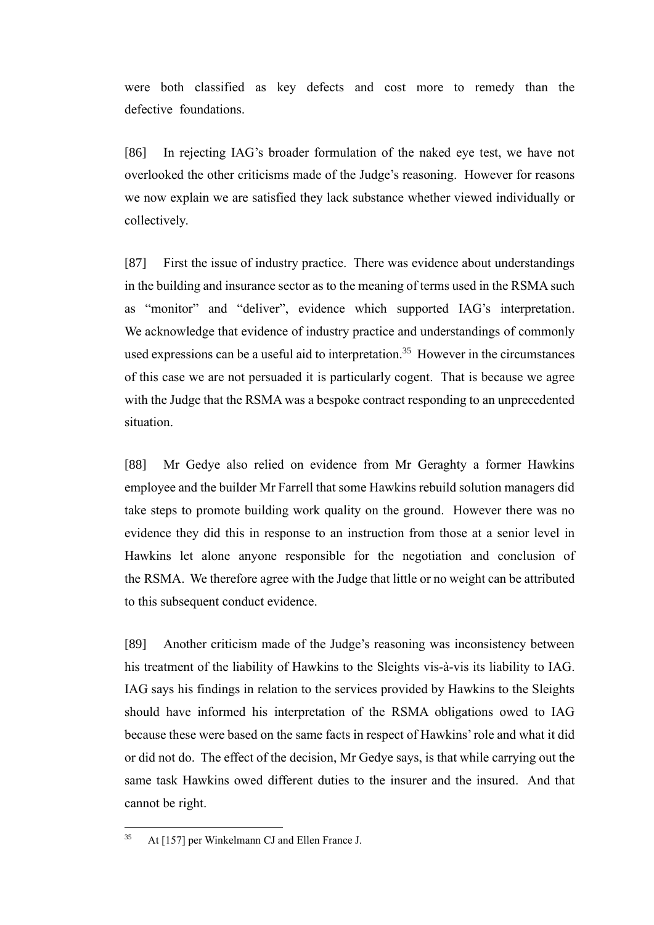were both classified as key defects and cost more to remedy than the defective foundations.

[86] In rejecting IAG's broader formulation of the naked eye test, we have not overlooked the other criticisms made of the Judge's reasoning. However for reasons we now explain we are satisfied they lack substance whether viewed individually or collectively.

[87] First the issue of industry practice. There was evidence about understandings in the building and insurance sector as to the meaning of terms used in the RSMA such as "monitor" and "deliver", evidence which supported IAG's interpretation. We acknowledge that evidence of industry practice and understandings of commonly used expressions can be a useful aid to interpretation.<sup>35</sup> However in the circumstances of this case we are not persuaded it is particularly cogent. That is because we agree with the Judge that the RSMA was a bespoke contract responding to an unprecedented situation.

[88] Mr Gedye also relied on evidence from Mr Geraghty a former Hawkins employee and the builder Mr Farrell that some Hawkins rebuild solution managers did take steps to promote building work quality on the ground. However there was no evidence they did this in response to an instruction from those at a senior level in Hawkins let alone anyone responsible for the negotiation and conclusion of the RSMA. We therefore agree with the Judge that little or no weight can be attributed to this subsequent conduct evidence.

[89] Another criticism made of the Judge's reasoning was inconsistency between his treatment of the liability of Hawkins to the Sleights vis-à-vis its liability to IAG. IAG says his findings in relation to the services provided by Hawkins to the Sleights should have informed his interpretation of the RSMA obligations owed to IAG because these were based on the same facts in respect of Hawkins' role and what it did or did not do. The effect of the decision, Mr Gedye says, is that while carrying out the same task Hawkins owed different duties to the insurer and the insured. And that cannot be right.

<sup>35</sup> At [157] per Winkelmann CJ and Ellen France J.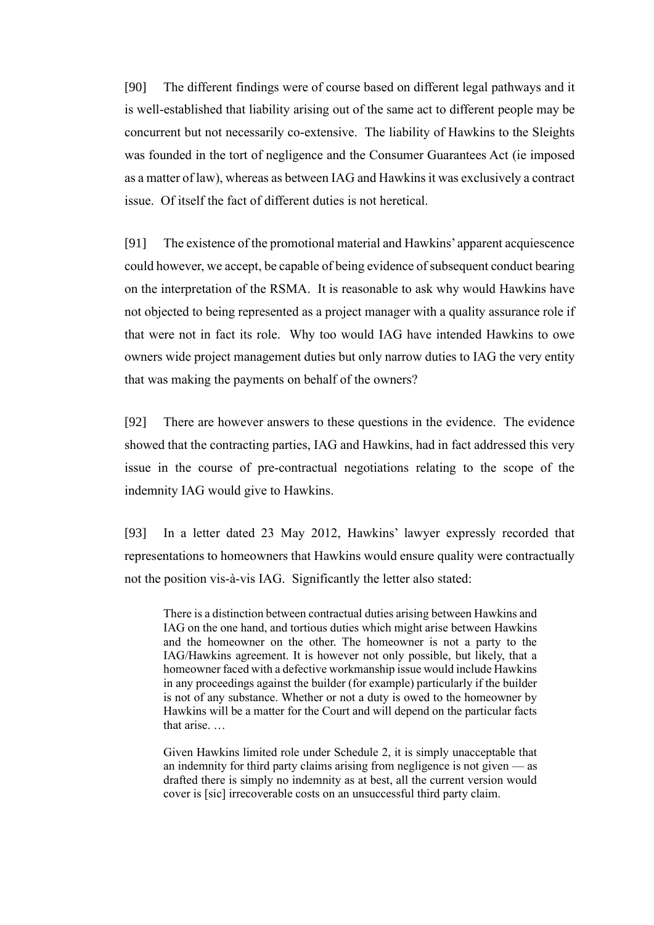[90] The different findings were of course based on different legal pathways and it is well-established that liability arising out of the same act to different people may be concurrent but not necessarily co-extensive. The liability of Hawkins to the Sleights was founded in the tort of negligence and the Consumer Guarantees Act (ie imposed as a matter of law), whereas as between IAG and Hawkins it was exclusively a contract issue. Of itself the fact of different duties is not heretical.

[91] The existence of the promotional material and Hawkins' apparent acquiescence could however, we accept, be capable of being evidence of subsequent conduct bearing on the interpretation of the RSMA. It is reasonable to ask why would Hawkins have not objected to being represented as a project manager with a quality assurance role if that were not in fact its role. Why too would IAG have intended Hawkins to owe owners wide project management duties but only narrow duties to IAG the very entity that was making the payments on behalf of the owners?

[92] There are however answers to these questions in the evidence. The evidence showed that the contracting parties, IAG and Hawkins, had in fact addressed this very issue in the course of pre-contractual negotiations relating to the scope of the indemnity IAG would give to Hawkins.

[93] In a letter dated 23 May 2012, Hawkins' lawyer expressly recorded that representations to homeowners that Hawkins would ensure quality were contractually not the position vis-à-vis IAG. Significantly the letter also stated:

There is a distinction between contractual duties arising between Hawkins and IAG on the one hand, and tortious duties which might arise between Hawkins and the homeowner on the other. The homeowner is not a party to the IAG/Hawkins agreement. It is however not only possible, but likely, that a homeowner faced with a defective workmanship issue would include Hawkins in any proceedings against the builder (for example) particularly if the builder is not of any substance. Whether or not a duty is owed to the homeowner by Hawkins will be a matter for the Court and will depend on the particular facts that arise. …

Given Hawkins limited role under Schedule 2, it is simply unacceptable that an indemnity for third party claims arising from negligence is not given — as drafted there is simply no indemnity as at best, all the current version would cover is [sic] irrecoverable costs on an unsuccessful third party claim.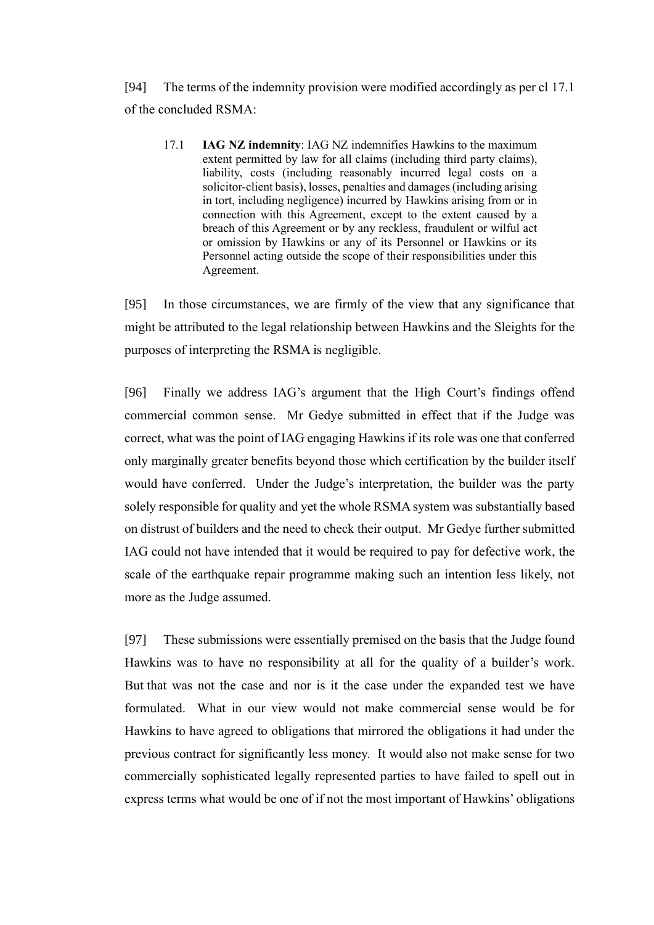[94] The terms of the indemnity provision were modified accordingly as per cl 17.1 of the concluded RSMA:

17.1 **IAG NZ indemnity**: IAG NZ indemnifies Hawkins to the maximum extent permitted by law for all claims (including third party claims), liability, costs (including reasonably incurred legal costs on a solicitor-client basis), losses, penalties and damages (including arising in tort, including negligence) incurred by Hawkins arising from or in connection with this Agreement, except to the extent caused by a breach of this Agreement or by any reckless, fraudulent or wilful act or omission by Hawkins or any of its Personnel or Hawkins or its Personnel acting outside the scope of their responsibilities under this Agreement.

[95] In those circumstances, we are firmly of the view that any significance that might be attributed to the legal relationship between Hawkins and the Sleights for the purposes of interpreting the RSMA is negligible.

[96] Finally we address IAG's argument that the High Court's findings offend commercial common sense. Mr Gedye submitted in effect that if the Judge was correct, what was the point of IAG engaging Hawkins if its role was one that conferred only marginally greater benefits beyond those which certification by the builder itself would have conferred. Under the Judge's interpretation, the builder was the party solely responsible for quality and yet the whole RSMA system was substantially based on distrust of builders and the need to check their output. Mr Gedye further submitted IAG could not have intended that it would be required to pay for defective work, the scale of the earthquake repair programme making such an intention less likely, not more as the Judge assumed.

[97] These submissions were essentially premised on the basis that the Judge found Hawkins was to have no responsibility at all for the quality of a builder's work. But that was not the case and nor is it the case under the expanded test we have formulated. What in our view would not make commercial sense would be for Hawkins to have agreed to obligations that mirrored the obligations it had under the previous contract for significantly less money. It would also not make sense for two commercially sophisticated legally represented parties to have failed to spell out in express terms what would be one of if not the most important of Hawkins' obligations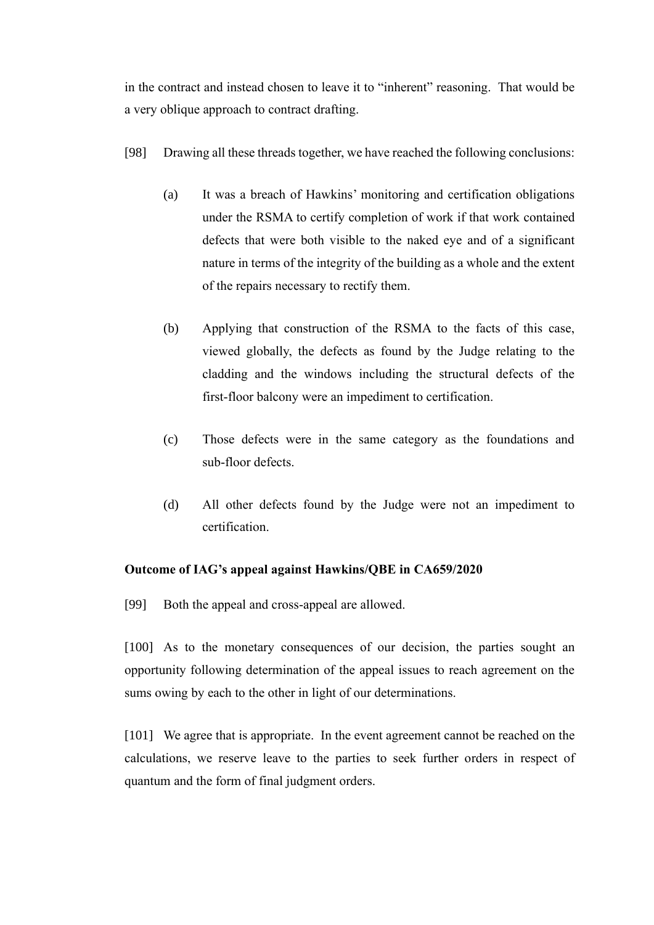in the contract and instead chosen to leave it to "inherent" reasoning. That would be a very oblique approach to contract drafting.

- [98] Drawing all these threads together, we have reached the following conclusions:
	- (a) It was a breach of Hawkins' monitoring and certification obligations under the RSMA to certify completion of work if that work contained defects that were both visible to the naked eye and of a significant nature in terms of the integrity of the building as a whole and the extent of the repairs necessary to rectify them.
	- (b) Applying that construction of the RSMA to the facts of this case, viewed globally, the defects as found by the Judge relating to the cladding and the windows including the structural defects of the first-floor balcony were an impediment to certification.
	- (c) Those defects were in the same category as the foundations and sub-floor defects.
	- (d) All other defects found by the Judge were not an impediment to certification.

#### **Outcome of IAG's appeal against Hawkins/QBE in CA659/2020**

[99] Both the appeal and cross-appeal are allowed.

[100] As to the monetary consequences of our decision, the parties sought an opportunity following determination of the appeal issues to reach agreement on the sums owing by each to the other in light of our determinations.

[101] We agree that is appropriate. In the event agreement cannot be reached on the calculations, we reserve leave to the parties to seek further orders in respect of quantum and the form of final judgment orders.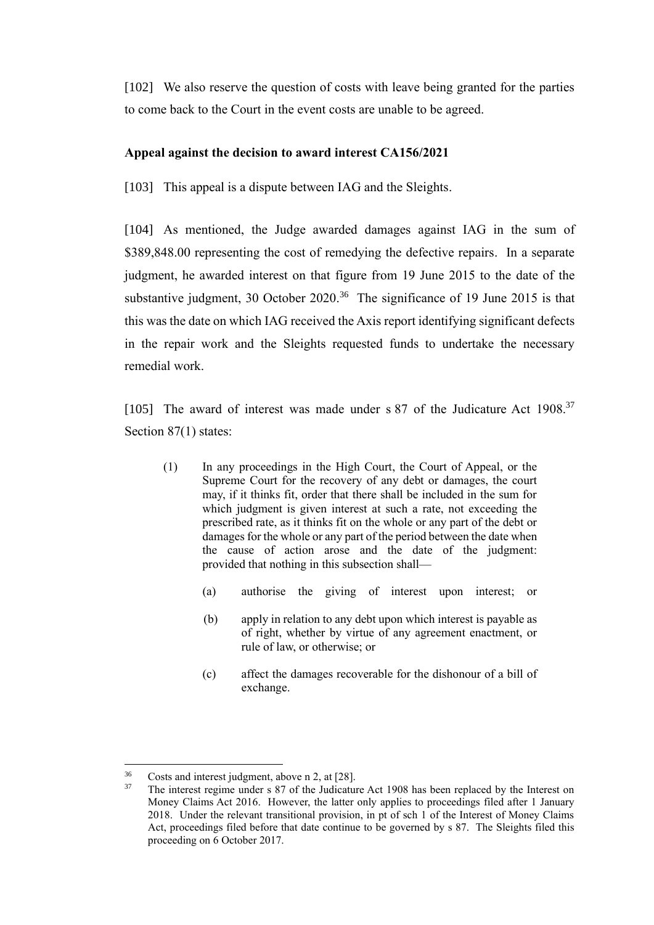[102] We also reserve the question of costs with leave being granted for the parties to come back to the Court in the event costs are unable to be agreed.

# **Appeal against the decision to award interest CA156/2021**

[103] This appeal is a dispute between IAG and the Sleights.

[104] As mentioned, the Judge awarded damages against IAG in the sum of \$389,848.00 representing the cost of remedying the defective repairs. In a separate judgment, he awarded interest on that figure from 19 June 2015 to the date of the substantive judgment, 30 October 2020.<sup>36</sup> The significance of 19 June 2015 is that this was the date on which IAG received the Axis report identifying significant defects in the repair work and the Sleights requested funds to undertake the necessary remedial work.

[105] The award of interest was made under s 87 of the Judicature Act 1908.<sup>37</sup> Section 87(1) states:

- (1) In any proceedings in the High Court, the Court of Appeal, or the Supreme Court for the recovery of any debt or damages, the court may, if it thinks fit, order that there shall be included in the sum for which judgment is given interest at such a rate, not exceeding the prescribed rate, as it thinks fit on the whole or any part of the debt or damages for the whole or any part of the period between the date when the cause of action arose and the date of the judgment: provided that nothing in this subsection shall—
	- (a) authorise the giving of interest upon interest; or
	- (b) apply in relation to any debt upon which interest is payable as of right, whether by virtue of any agreement enactment, or rule of law, or otherwise; or
	- (c) affect the damages recoverable for the dishonour of a bill of exchange.

 $^{36}$  Costs and interest judgment, above n [2,](#page-2-0) at [28].<br><sup>37</sup> The interest regime under s 87 of the Judicature

<sup>37</sup> The interest regime under s 87 of the Judicature Act 1908 has been replaced by the Interest on Money Claims Act 2016. However, the latter only applies to proceedings filed after 1 January 2018. Under the relevant transitional provision, in pt of sch 1 of the Interest of Money Claims Act, proceedings filed before that date continue to be governed by s 87. The Sleights filed this proceeding on 6 October 2017.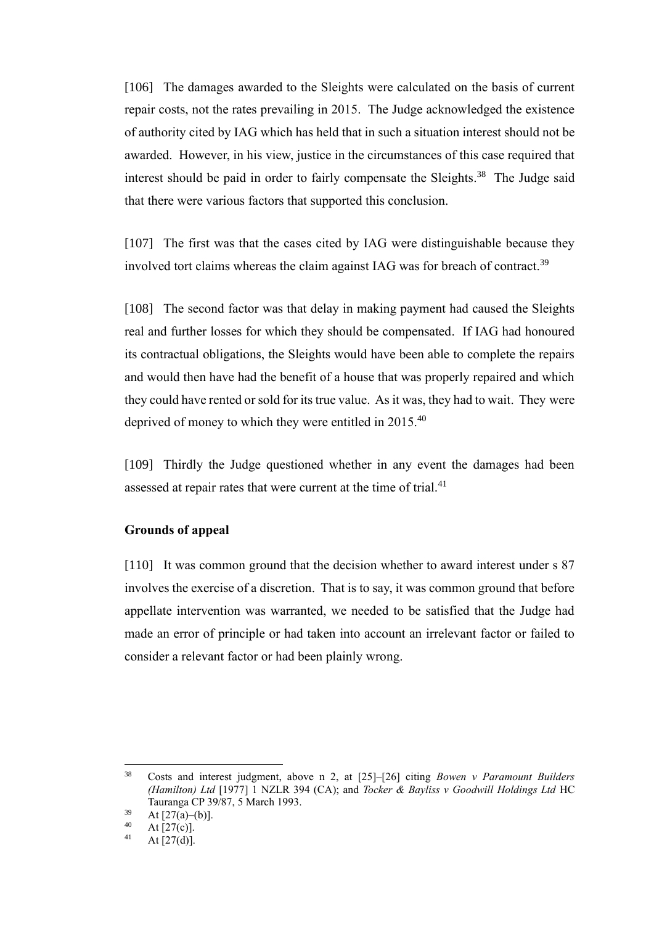[106] The damages awarded to the Sleights were calculated on the basis of current repair costs, not the rates prevailing in 2015. The Judge acknowledged the existence of authority cited by IAG which has held that in such a situation interest should not be awarded. However, in his view, justice in the circumstances of this case required that interest should be paid in order to fairly compensate the Sleights.<sup>38</sup> The Judge said that there were various factors that supported this conclusion.

<span id="page-25-0"></span>[107] The first was that the cases cited by IAG were distinguishable because they involved tort claims whereas the claim against IAG was for breach of contract.<sup>39</sup>

[108] The second factor was that delay in making payment had caused the Sleights real and further losses for which they should be compensated. If IAG had honoured its contractual obligations, the Sleights would have been able to complete the repairs and would then have had the benefit of a house that was properly repaired and which they could have rented or sold for its true value. As it was, they had to wait. They were deprived of money to which they were entitled in 2015.<sup>40</sup>

[109] Thirdly the Judge questioned whether in any event the damages had been assessed at repair rates that were current at the time of trial.<sup>41</sup>

#### **Grounds of appeal**

[110] It was common ground that the decision whether to award interest under s 87 involves the exercise of a discretion. That is to say, it was common ground that before appellate intervention was warranted, we needed to be satisfied that the Judge had made an error of principle or had taken into account an irrelevant factor or failed to consider a relevant factor or had been plainly wrong.

<sup>38</sup> Costs and interest judgment, above n [2,](#page-2-0) at [25]–[26] citing *Bowen v Paramount Builders (Hamilton) Ltd* [1977] 1 NZLR 394 (CA); and *Tocker & Bayliss v Goodwill Holdings Ltd* HC Tauranga CP 39/87, 5 March 1993.

 $\frac{39}{40}$  At [27(a)–(b)].

 $^{40}$  At [27(c)].

At  $[27(d)]$ .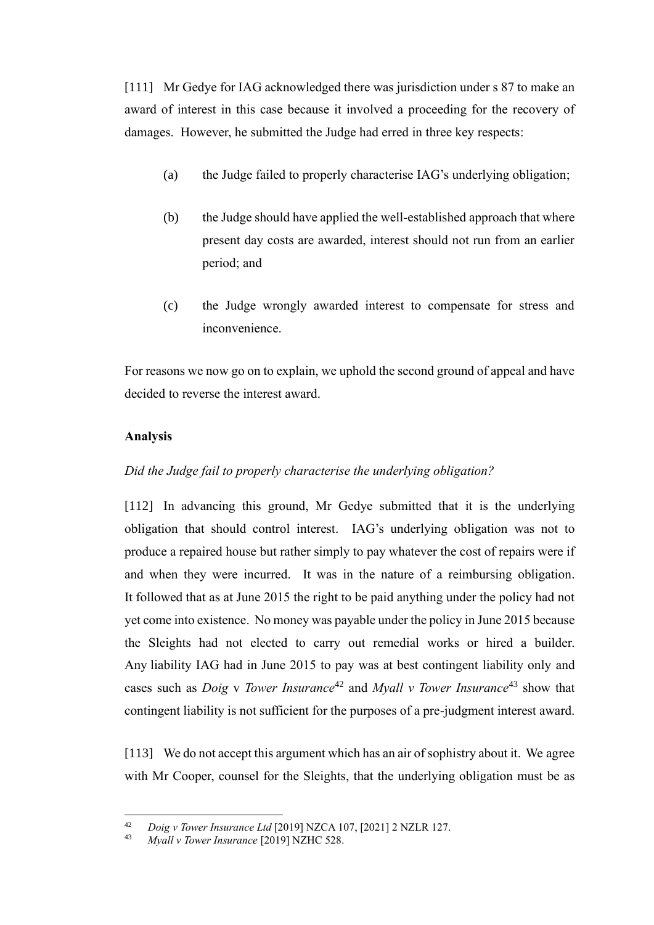[111] Mr Gedye for IAG acknowledged there was jurisdiction under s 87 to make an award of interest in this case because it involved a proceeding for the recovery of damages. However, he submitted the Judge had erred in three key respects:

- (a) the Judge failed to properly characterise IAG's underlying obligation;
- (b) the Judge should have applied the well-established approach that where present day costs are awarded, interest should not run from an earlier period; and
- (c) the Judge wrongly awarded interest to compensate for stress and inconvenience.

For reasons we now go on to explain, we uphold the second ground of appeal and have decided to reverse the interest award.

#### **Analysis**

#### *Did the Judge fail to properly characterise the underlying obligation?*

[112] In advancing this ground, Mr Gedye submitted that it is the underlying obligation that should control interest. IAG's underlying obligation was not to produce a repaired house but rather simply to pay whatever the cost of repairs were if and when they were incurred. It was in the nature of a reimbursing obligation. It followed that as at June 2015 the right to be paid anything under the policy had not yet come into existence. No money was payable under the policy in June 2015 because the Sleights had not elected to carry out remedial works or hired a builder. Any liability IAG had in June 2015 to pay was at best contingent liability only and cases such as *Doig* v *Tower Insurance*<sup>42</sup> and *Myall v Tower Insurance*<sup>43</sup> show that contingent liability is not sufficient for the purposes of a pre-judgment interest award.

[113] We do not accept this argument which has an air of sophistry about it. We agree with Mr Cooper, counsel for the Sleights, that the underlying obligation must be as

<sup>42</sup> *Doig v Tower Insurance Ltd* [2019] NZCA 107, [2021] 2 NZLR 127.

<sup>43</sup> *Myall v Tower Insurance* [2019] NZHC 528.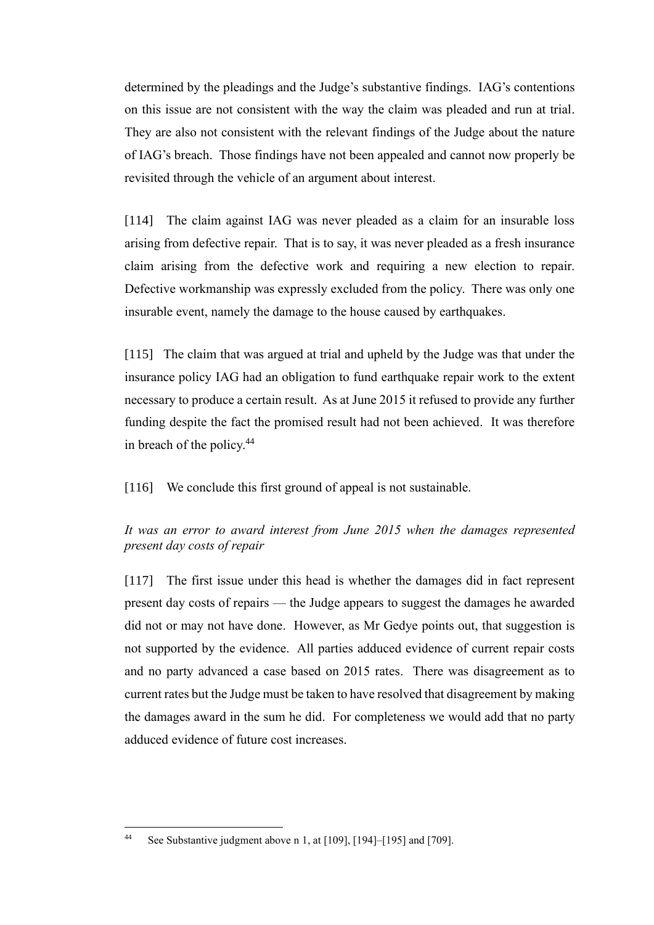determined by the pleadings and the Judge's substantive findings. IAG's contentions on this issue are not consistent with the way the claim was pleaded and run at trial. They are also not consistent with the relevant findings of the Judge about the nature of IAG's breach. Those findings have not been appealed and cannot now properly be revisited through the vehicle of an argument about interest.

[114] The claim against IAG was never pleaded as a claim for an insurable loss arising from defective repair. That is to say, it was never pleaded as a fresh insurance claim arising from the defective work and requiring a new election to repair. Defective workmanship was expressly excluded from the policy. There was only one insurable event, namely the damage to the house caused by earthquakes.

[115] The claim that was argued at trial and upheld by the Judge was that under the insurance policy IAG had an obligation to fund earthquake repair work to the extent necessary to produce a certain result. As at June 2015 it refused to provide any further funding despite the fact the promised result had not been achieved. It was therefore in breach of the policy.<sup>44</sup>

[116] We conclude this first ground of appeal is not sustainable.

### *It was an error to award interest from June 2015 when the damages represented present day costs of repair*

[117] The first issue under this head is whether the damages did in fact represent present day costs of repairs — the Judge appears to suggest the damages he awarded did not or may not have done. However, as Mr Gedye points out, that suggestion is not supported by the evidence. All parties adduced evidence of current repair costs and no party advanced a case based on 2015 rates. There was disagreement as to current rates but the Judge must be taken to have resolved that disagreement by making the damages award in the sum he did. For completeness we would add that no party adduced evidence of future cost increases.

<sup>44</sup> See Substantive judgment above n [1,](#page-1-0) at [109], [194]–[195] and [709].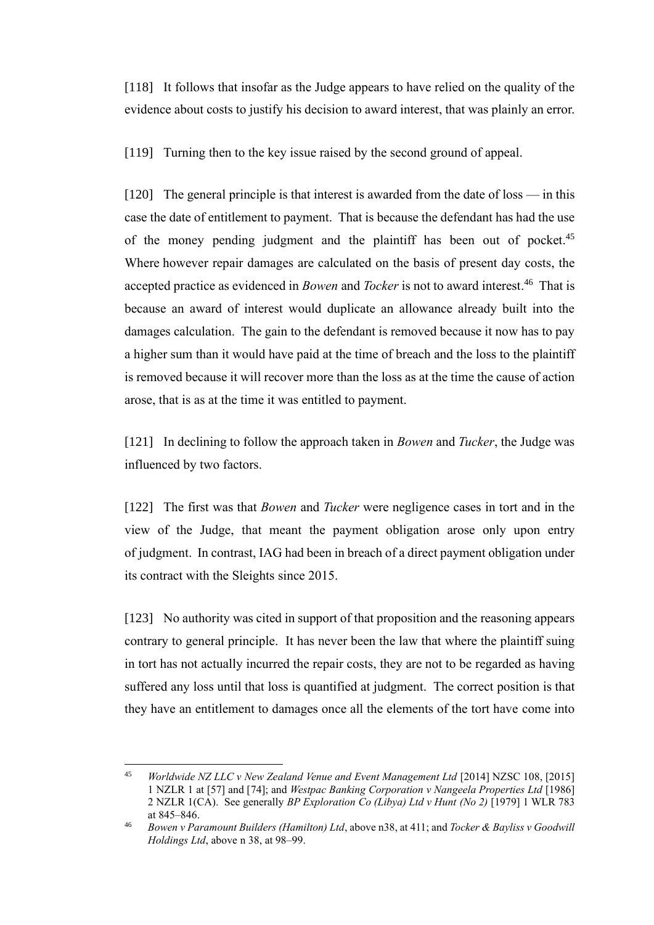[118] It follows that insofar as the Judge appears to have relied on the quality of the evidence about costs to justify his decision to award interest, that was plainly an error.

[119] Turning then to the key issue raised by the second ground of appeal.

<span id="page-28-0"></span>[120] The general principle is that interest is awarded from the date of loss — in this case the date of entitlement to payment. That is because the defendant has had the use of the money pending judgment and the plaintiff has been out of pocket.<sup>45</sup> Where however repair damages are calculated on the basis of present day costs, the accepted practice as evidenced in *Bowen* and *Tocker* is not to award interest. 46 That is because an award of interest would duplicate an allowance already built into the damages calculation. The gain to the defendant is removed because it now has to pay a higher sum than it would have paid at the time of breach and the loss to the plaintiff is removed because it will recover more than the loss as at the time the cause of action arose, that is as at the time it was entitled to payment.

[121] In declining to follow the approach taken in *Bowen* and *Tucker*, the Judge was influenced by two factors.

[122] The first was that *Bowen* and *Tucker* were negligence cases in tort and in the view of the Judge, that meant the payment obligation arose only upon entry of judgment. In contrast, IAG had been in breach of a direct payment obligation under its contract with the Sleights since 2015.

[123] No authority was cited in support of that proposition and the reasoning appears contrary to general principle. It has never been the law that where the plaintiff suing in tort has not actually incurred the repair costs, they are not to be regarded as having suffered any loss until that loss is quantified at judgment. The correct position is that they have an entitlement to damages once all the elements of the tort have come into

<sup>&</sup>lt;sup>45</sup> *Worldwide NZ LLC v New Zealand Venue and Event Management Ltd* [2014] NZSC 108, [2015] 1 NZLR 1 at [57] and [74]; and *Westpac Banking Corporation v Nangeela Properties Ltd* [1986] 2 NZLR 1(CA). See generally *BP Exploration Co (Libya) Ltd v Hunt (No 2)* [1979] 1 WLR 783 at 845–846.

<sup>46</sup> *Bowen v Paramount Builders (Hamilton) Ltd*, above [n38,](#page-25-0) at 411; and *Tocker & Bayliss v Goodwill Holdings Ltd*, above n [38,](#page-25-0) at 98–99.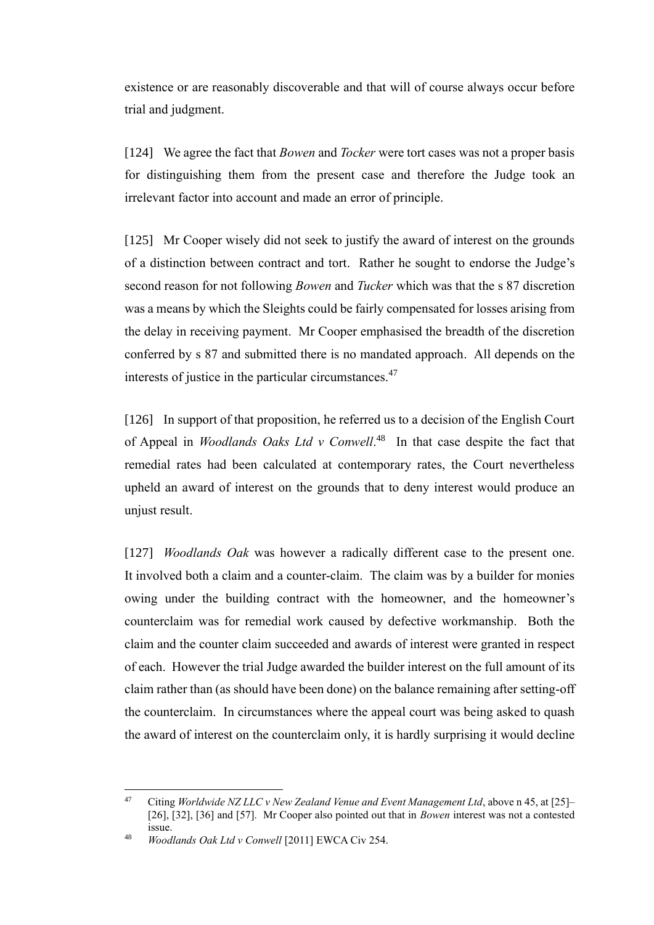existence or are reasonably discoverable and that will of course always occur before trial and judgment.

[124] We agree the fact that *Bowen* and *Tocker* were tort cases was not a proper basis for distinguishing them from the present case and therefore the Judge took an irrelevant factor into account and made an error of principle.

[125] Mr Cooper wisely did not seek to justify the award of interest on the grounds of a distinction between contract and tort. Rather he sought to endorse the Judge's second reason for not following *Bowen* and *Tucker* which was that the s 87 discretion was a means by which the Sleights could be fairly compensated for losses arising from the delay in receiving payment. Mr Cooper emphasised the breadth of the discretion conferred by s 87 and submitted there is no mandated approach. All depends on the interests of justice in the particular circumstances.<sup>47</sup>

[126] In support of that proposition, he referred us to a decision of the English Court of Appeal in *Woodlands Oaks Ltd v Conwell*. 48 In that case despite the fact that remedial rates had been calculated at contemporary rates, the Court nevertheless upheld an award of interest on the grounds that to deny interest would produce an unjust result.

[127] *Woodlands Oak* was however a radically different case to the present one. It involved both a claim and a counter-claim. The claim was by a builder for monies owing under the building contract with the homeowner, and the homeowner's counterclaim was for remedial work caused by defective workmanship. Both the claim and the counter claim succeeded and awards of interest were granted in respect of each. However the trial Judge awarded the builder interest on the full amount of its claim rather than (as should have been done) on the balance remaining after setting-off the counterclaim. In circumstances where the appeal court was being asked to quash the award of interest on the counterclaim only, it is hardly surprising it would decline

<sup>47</sup> Citing *Worldwide NZ LLC v New Zealand Venue and Event Management Ltd*, above [n 45,](#page-28-0) at [25]– [26], [32], [36] and [57]. Mr Cooper also pointed out that in *Bowen* interest was not a contested issue.

<sup>48</sup> *Woodlands Oak Ltd v Conwell* [2011] EWCA Civ 254.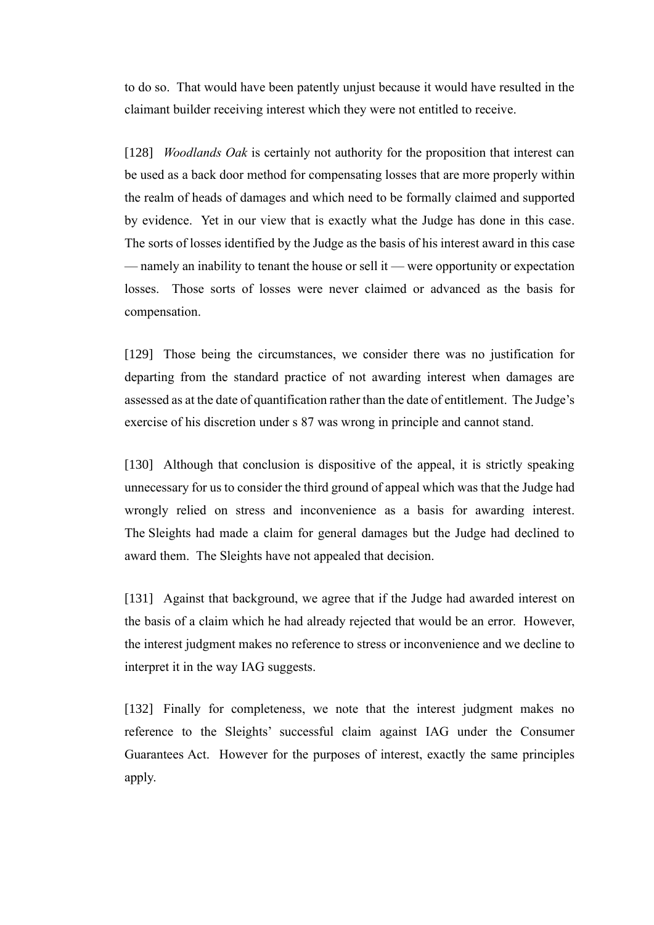to do so. That would have been patently unjust because it would have resulted in the claimant builder receiving interest which they were not entitled to receive.

[128] *Woodlands Oak* is certainly not authority for the proposition that interest can be used as a back door method for compensating losses that are more properly within the realm of heads of damages and which need to be formally claimed and supported by evidence. Yet in our view that is exactly what the Judge has done in this case. The sorts of losses identified by the Judge as the basis of his interest award in this case — namely an inability to tenant the house or sell it — were opportunity or expectation losses. Those sorts of losses were never claimed or advanced as the basis for compensation.

[129] Those being the circumstances, we consider there was no justification for departing from the standard practice of not awarding interest when damages are assessed as at the date of quantification rather than the date of entitlement. The Judge's exercise of his discretion under s 87 was wrong in principle and cannot stand.

[130] Although that conclusion is dispositive of the appeal, it is strictly speaking unnecessary for us to consider the third ground of appeal which was that the Judge had wrongly relied on stress and inconvenience as a basis for awarding interest. The Sleights had made a claim for general damages but the Judge had declined to award them. The Sleights have not appealed that decision.

[131] Against that background, we agree that if the Judge had awarded interest on the basis of a claim which he had already rejected that would be an error. However, the interest judgment makes no reference to stress or inconvenience and we decline to interpret it in the way IAG suggests.

[132] Finally for completeness, we note that the interest judgment makes no reference to the Sleights' successful claim against IAG under the Consumer Guarantees Act. However for the purposes of interest, exactly the same principles apply.